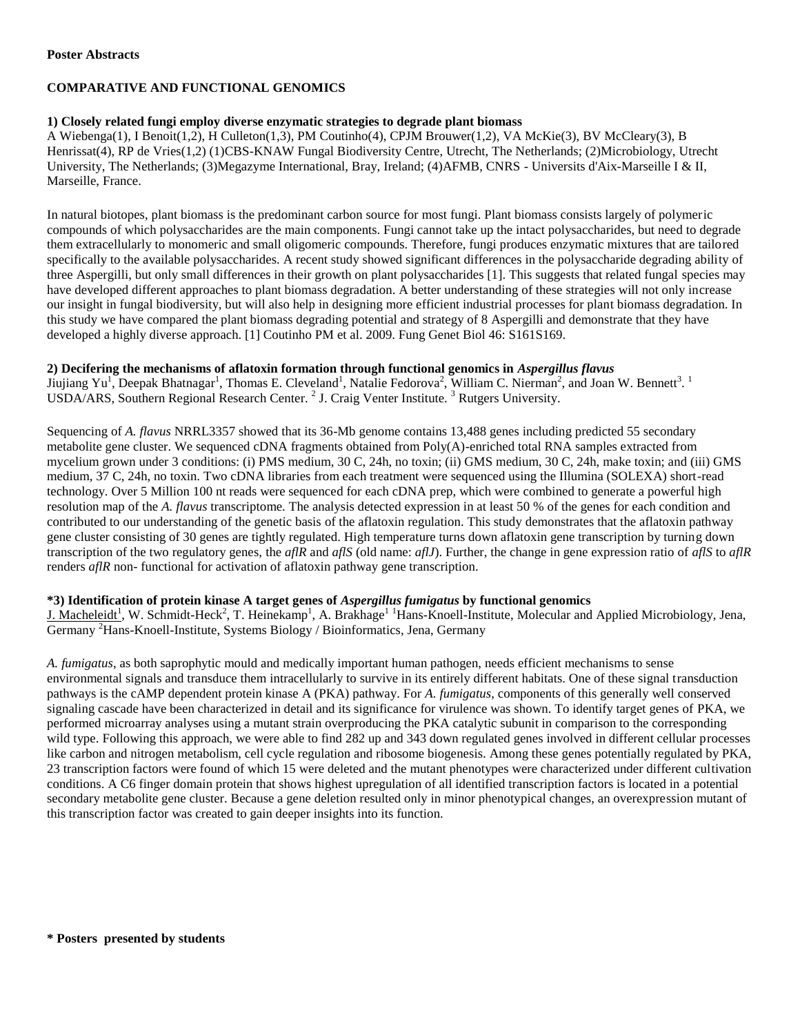#### **Poster Abstracts**

# **COMPARATIVE AND FUNCTIONAL GENOMICS**

## **1) Closely related fungi employ diverse enzymatic strategies to degrade plant biomass**

A Wiebenga(1), I Benoit(1,2), H Culleton(1,3), PM Coutinho(4), CPJM Brouwer(1,2), VA McKie(3), BV McCleary(3), B Henrissat(4), RP de Vries(1,2) (1)CBS-KNAW Fungal Biodiversity Centre, Utrecht, The Netherlands; (2)Microbiology, Utrecht University, The Netherlands; (3)Megazyme International, Bray, Ireland; (4)AFMB, CNRS - Universits d'Aix-Marseille I & II, Marseille, France.

In natural biotopes, plant biomass is the predominant carbon source for most fungi. Plant biomass consists largely of polymeric compounds of which polysaccharides are the main components. Fungi cannot take up the intact polysaccharides, but need to degrade them extracellularly to monomeric and small oligomeric compounds. Therefore, fungi produces enzymatic mixtures that are tailored specifically to the available polysaccharides. A recent study showed significant differences in the polysaccharide degrading ability of three Aspergilli, but only small differences in their growth on plant polysaccharides [1]. This suggests that related fungal species may have developed different approaches to plant biomass degradation. A better understanding of these strategies will not only increase our insight in fungal biodiversity, but will also help in designing more efficient industrial processes for plant biomass degradation. In this study we have compared the plant biomass degrading potential and strategy of 8 Aspergilli and demonstrate that they have developed a highly diverse approach. [1] Coutinho PM et al. 2009. Fung Genet Biol 46: S161S169.

#### **2) Decifering the mechanisms of aflatoxin formation through functional genomics in** *Aspergillus flavus*

Jiujiang Yu<sup>1</sup>, Deepak Bhatnagar<sup>1</sup>, Thomas E. Cleveland<sup>1</sup>, Natalie Fedorova<sup>2</sup>, William C. Nierman<sup>2</sup>, and Joan W. Bennett<sup>3</sup>. USDA/ARS, Southern Regional Research Center.<sup>2</sup> J. Craig Venter Institute.<sup>3</sup> Rutgers University.

Sequencing of *A. flavus* NRRL3357 showed that its 36-Mb genome contains 13,488 genes including predicted 55 secondary metabolite gene cluster. We sequenced cDNA fragments obtained from Poly(A)-enriched total RNA samples extracted from mycelium grown under 3 conditions: (i) PMS medium, 30 C, 24h, no toxin; (ii) GMS medium, 30 C, 24h, make toxin; and (iii) GMS medium, 37 C, 24h, no toxin. Two cDNA libraries from each treatment were sequenced using the Illumina (SOLEXA) short-read technology. Over 5 Million 100 nt reads were sequenced for each cDNA prep, which were combined to generate a powerful high resolution map of the *A. flavus* transcriptome. The analysis detected expression in at least 50 % of the genes for each condition and contributed to our understanding of the genetic basis of the aflatoxin regulation. This study demonstrates that the aflatoxin pathway gene cluster consisting of 30 genes are tightly regulated. High temperature turns down aflatoxin gene transcription by turning down transcription of the two regulatory genes, the *aflR* and *aflS* (old name: *aflJ*). Further, the change in gene expression ratio of *aflS* to *aflR* renders *aflR* non- functional for activation of aflatoxin pathway gene transcription.

## **\*3) Identification of protein kinase A target genes of** *Aspergillus fumigatus* **by functional genomics**

J. Macheleidt<sup>1</sup>, W. Schmidt-Heck<sup>2</sup>, T. Heinekamp<sup>1</sup>, A. Brakhage<sup>11</sup>Hans-Knoell-Institute, Molecular and Applied Microbiology, Jena, Germany <sup>2</sup>Hans-Knoell-Institute, Systems Biology / Bioinformatics, Jena, Germany

*A. fumigatus*, as both saprophytic mould and medically important human pathogen, needs efficient mechanisms to sense environmental signals and transduce them intracellularly to survive in its entirely different habitats. One of these signal transduction pathways is the cAMP dependent protein kinase A (PKA) pathway. For *A. fumigatus*, components of this generally well conserved signaling cascade have been characterized in detail and its significance for virulence was shown. To identify target genes of PKA, we performed microarray analyses using a mutant strain overproducing the PKA catalytic subunit in comparison to the corresponding wild type. Following this approach, we were able to find 282 up and 343 down regulated genes involved in different cellular processes like carbon and nitrogen metabolism, cell cycle regulation and ribosome biogenesis. Among these genes potentially regulated by PKA, 23 transcription factors were found of which 15 were deleted and the mutant phenotypes were characterized under different cultivation conditions. A C6 finger domain protein that shows highest upregulation of all identified transcription factors is located in a potential secondary metabolite gene cluster. Because a gene deletion resulted only in minor phenotypical changes, an overexpression mutant of this transcription factor was created to gain deeper insights into its function.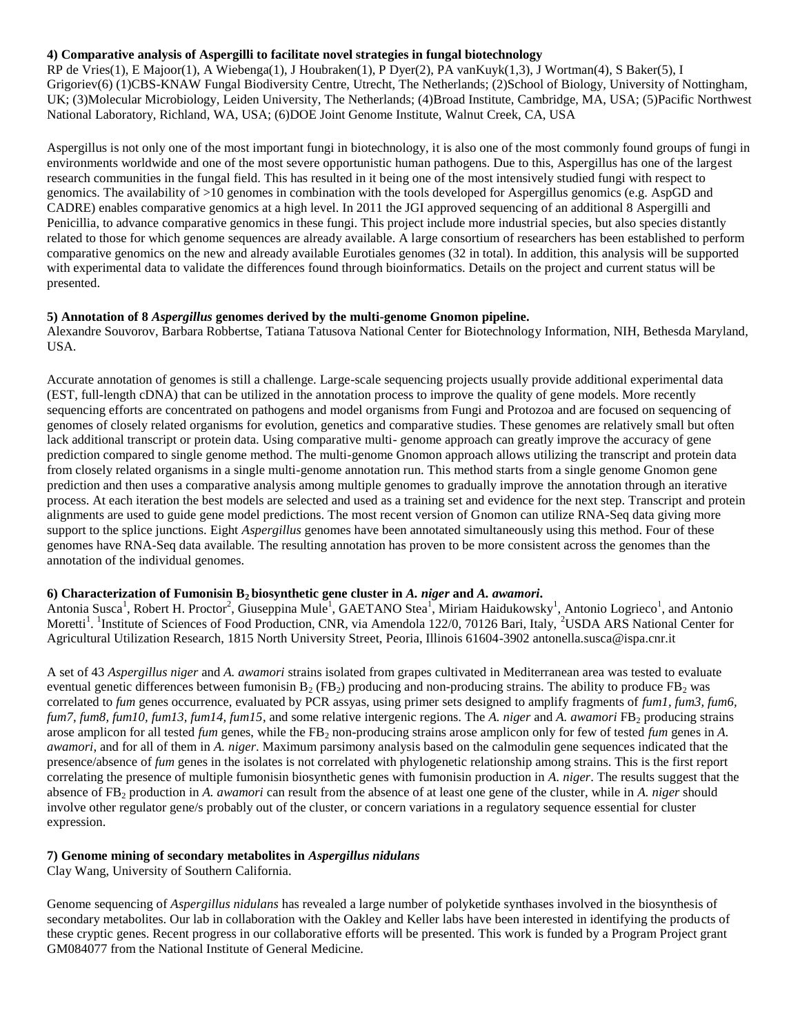#### **4) Comparative analysis of Aspergilli to facilitate novel strategies in fungal biotechnology**

RP de Vries(1), E Majoor(1), A Wiebenga(1), J Houbraken(1), P Dyer(2), PA vanKuyk(1,3), J Wortman(4), S Baker(5), I Grigoriev(6) (1)CBS-KNAW Fungal Biodiversity Centre, Utrecht, The Netherlands; (2)School of Biology, University of Nottingham, UK; (3)Molecular Microbiology, Leiden University, The Netherlands; (4)Broad Institute, Cambridge, MA, USA; (5)Pacific Northwest National Laboratory, Richland, WA, USA; (6)DOE Joint Genome Institute, Walnut Creek, CA, USA

Aspergillus is not only one of the most important fungi in biotechnology, it is also one of the most commonly found groups of fungi in environments worldwide and one of the most severe opportunistic human pathogens. Due to this, Aspergillus has one of the largest research communities in the fungal field. This has resulted in it being one of the most intensively studied fungi with respect to genomics. The availability of >10 genomes in combination with the tools developed for Aspergillus genomics (e.g. AspGD and CADRE) enables comparative genomics at a high level. In 2011 the JGI approved sequencing of an additional 8 Aspergilli and Penicillia, to advance comparative genomics in these fungi. This project include more industrial species, but also species distantly related to those for which genome sequences are already available. A large consortium of researchers has been established to perform comparative genomics on the new and already available Eurotiales genomes (32 in total). In addition, this analysis will be supported with experimental data to validate the differences found through bioinformatics. Details on the project and current status will be presented.

#### **5) Annotation of 8** *Aspergillus* **genomes derived by the multi-genome Gnomon pipeline.**

Alexandre Souvorov, Barbara Robbertse, Tatiana Tatusova National Center for Biotechnology Information, NIH, Bethesda Maryland, USA.

Accurate annotation of genomes is still a challenge. Large-scale sequencing projects usually provide additional experimental data (EST, full-length cDNA) that can be utilized in the annotation process to improve the quality of gene models. More recently sequencing efforts are concentrated on pathogens and model organisms from Fungi and Protozoa and are focused on sequencing of genomes of closely related organisms for evolution, genetics and comparative studies. These genomes are relatively small but often lack additional transcript or protein data. Using comparative multi- genome approach can greatly improve the accuracy of gene prediction compared to single genome method. The multi-genome Gnomon approach allows utilizing the transcript and protein data from closely related organisms in a single multi-genome annotation run. This method starts from a single genome Gnomon gene prediction and then uses a comparative analysis among multiple genomes to gradually improve the annotation through an iterative process. At each iteration the best models are selected and used as a training set and evidence for the next step. Transcript and protein alignments are used to guide gene model predictions. The most recent version of Gnomon can utilize RNA-Seq data giving more support to the splice junctions. Eight *Aspergillus* genomes have been annotated simultaneously using this method. Four of these genomes have RNA-Seq data available. The resulting annotation has proven to be more consistent across the genomes than the annotation of the individual genomes.

#### **6) Characterization of Fumonisin B2 biosynthetic gene cluster in** *A. niger* **and** *A. awamori***.**

Antonia Susca<sup>1</sup>, Robert H. Proctor<sup>2</sup>, Giuseppina Mule<sup>1</sup>, GAETANO Stea<sup>1</sup>, Miriam Haidukowsky<sup>1</sup>, Antonio Logrieco<sup>1</sup>, and Antonio Moretti<sup>1</sup>. <sup>1</sup>Institute of Sciences of Food Production, CNR, via Amendola 122/0, 70126 Bari, Italy, <sup>2</sup>USDA ARS National Center for Agricultural Utilization Research, 1815 North University Street, Peoria, Illinois 61604-3902 antonella.susca@ispa.cnr.it

A set of 43 *Aspergillus niger* and *A. awamori* strains isolated from grapes cultivated in Mediterranean area was tested to evaluate eventual genetic differences between fumonisin  $B_2$  (FB<sub>2</sub>) producing and non-producing strains. The ability to produce FB<sub>2</sub> was correlated to *fum* genes occurrence, evaluated by PCR assyas, using primer sets designed to amplify fragments of *fum1, fum3, fum6, fum7, fum8, fum10, fum13, fum14, fum15, and some relative intergenic regions. The A. niger and A. awamori FB<sub>2</sub> producing strains* arose amplicon for all tested *fum* genes, while the FB<sub>2</sub> non-producing strains arose amplicon only for few of tested *fum* genes in *A*. *awamori*, and for all of them in *A. niger*. Maximum parsimony analysis based on the calmodulin gene sequences indicated that the presence/absence of *fum* genes in the isolates is not correlated with phylogenetic relationship among strains. This is the first report correlating the presence of multiple fumonisin biosynthetic genes with fumonisin production in *A. niger*. The results suggest that the absence of FB<sup>2</sup> production in *A. awamori* can result from the absence of at least one gene of the cluster, while in *A. niger* should involve other regulator gene/s probably out of the cluster, or concern variations in a regulatory sequence essential for cluster expression.

#### **7) Genome mining of secondary metabolites in** *Aspergillus nidulans*

Clay Wang, University of Southern California.

Genome sequencing of *Aspergillus nidulans* has revealed a large number of polyketide synthases involved in the biosynthesis of secondary metabolites. Our lab in collaboration with the Oakley and Keller labs have been interested in identifying the products of these cryptic genes. Recent progress in our collaborative efforts will be presented. This work is funded by a Program Project grant GM084077 from the National Institute of General Medicine.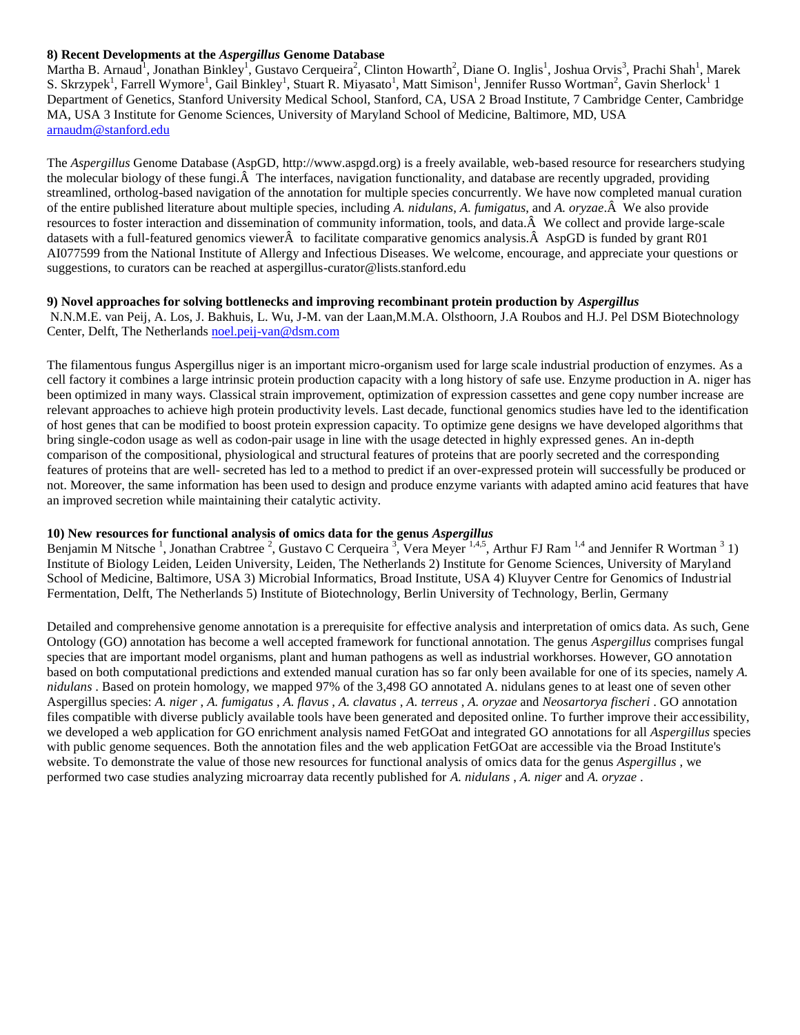#### **8) Recent Developments at the** *Aspergillus* **Genome Database**

Martha B. Arnaud<sup>1</sup>, Jonathan Binkley<sup>1</sup>, Gustavo Cerqueira<sup>2</sup>, Clinton Howarth<sup>2</sup>, Diane O. Inglis<sup>1</sup>, Joshua Orvis<sup>3</sup>, Prachi Shah<sup>1</sup>, Marek S. Skrzypek<sup>1</sup>, Farrell Wymore<sup>1</sup>, Gail Binkley<sup>1</sup>, Stuart R. Miyasato<sup>1</sup>, Matt Simison<sup>1</sup>, Jennifer Russo Wortman<sup>2</sup>, Gavin Sherlock<sup>1</sup> 1 Department of Genetics, Stanford University Medical School, Stanford, CA, USA 2 Broad Institute, 7 Cambridge Center, Cambridge MA, USA 3 Institute for Genome Sciences, University of Maryland School of Medicine, Baltimore, MD, USA [arnaudm@stanford.edu](mailto:arnaudm@stanford.edu)

The *Aspergillus* Genome Database (AspGD, http://www.aspgd.org) is a freely available, web-based resource for researchers studying the molecular biology of these fungi. $\hat{A}$  The interfaces, navigation functionality, and database are recently upgraded, providing streamlined, ortholog-based navigation of the annotation for multiple species concurrently. We have now completed manual curation of the entire published literature about multiple species, including *A. nidulans*, *A. fumigatus*, and *A. oryzae*.Â We also provide resources to foster interaction and dissemination of community information, tools, and data.Â We collect and provide large-scale datasets with a full-featured genomics viewerÂ to facilitate comparative genomics analysis.Â AspGD is funded by grant R01 AI077599 from the National Institute of Allergy and Infectious Diseases. We welcome, encourage, and appreciate your questions or suggestions, to curators can be reached at aspergillus-curator@lists.stanford.edu

#### **9) Novel approaches for solving bottlenecks and improving recombinant protein production by** *Aspergillus*

N.N.M.E. van Peij, A. Los, J. Bakhuis, L. Wu, J-M. van der Laan,M.M.A. Olsthoorn, J.A Roubos and H.J. Pel DSM Biotechnology Center, Delft, The Netherlands [noel.peij-van@dsm.com](mailto:noel.peij-van@dsm.com)

The filamentous fungus Aspergillus niger is an important micro-organism used for large scale industrial production of enzymes. As a cell factory it combines a large intrinsic protein production capacity with a long history of safe use. Enzyme production in A. niger has been optimized in many ways. Classical strain improvement, optimization of expression cassettes and gene copy number increase are relevant approaches to achieve high protein productivity levels. Last decade, functional genomics studies have led to the identification of host genes that can be modified to boost protein expression capacity. To optimize gene designs we have developed algorithms that bring single-codon usage as well as codon-pair usage in line with the usage detected in highly expressed genes. An in-depth comparison of the compositional, physiological and structural features of proteins that are poorly secreted and the corresponding features of proteins that are well- secreted has led to a method to predict if an over-expressed protein will successfully be produced or not. Moreover, the same information has been used to design and produce enzyme variants with adapted amino acid features that have an improved secretion while maintaining their catalytic activity.

# **10) New resources for functional analysis of omics data for the genus** *Aspergillus*

Benjamin M Nitsche<sup>1</sup>, Jonathan Crabtree<sup>2</sup>, Gustavo C Cerqueira<sup>3</sup>, Vera Meyer<sup>1,4,5</sup>, Arthur FJ Ram<sup>1,4</sup> and Jennifer R Wortman<sup>3</sup>1) Institute of Biology Leiden, Leiden University, Leiden, The Netherlands 2) Institute for Genome Sciences, University of Maryland School of Medicine, Baltimore, USA 3) Microbial Informatics, Broad Institute, USA 4) Kluyver Centre for Genomics of Industrial Fermentation, Delft, The Netherlands 5) Institute of Biotechnology, Berlin University of Technology, Berlin, Germany

Detailed and comprehensive genome annotation is a prerequisite for effective analysis and interpretation of omics data. As such, Gene Ontology (GO) annotation has become a well accepted framework for functional annotation. The genus *Aspergillus* comprises fungal species that are important model organisms, plant and human pathogens as well as industrial workhorses. However, GO annotation based on both computational predictions and extended manual curation has so far only been available for one of its species, namely *A. nidulans* . Based on protein homology, we mapped 97% of the 3,498 GO annotated A. nidulans genes to at least one of seven other Aspergillus species: *A. niger* , *A. fumigatus* , *A. flavus* , *A. clavatus* , *A. terreus* , *A. oryzae* and *Neosartorya fischeri* . GO annotation files compatible with diverse publicly available tools have been generated and deposited online. To further improve their accessibility, we developed a web application for GO enrichment analysis named FetGOat and integrated GO annotations for all *Aspergillus* species with public genome sequences. Both the annotation files and the web application FetGOat are accessible via the Broad Institute's website. To demonstrate the value of those new resources for functional analysis of omics data for the genus *Aspergillus* , we performed two case studies analyzing microarray data recently published for *A. nidulans* , *A. niger* and *A. oryzae* .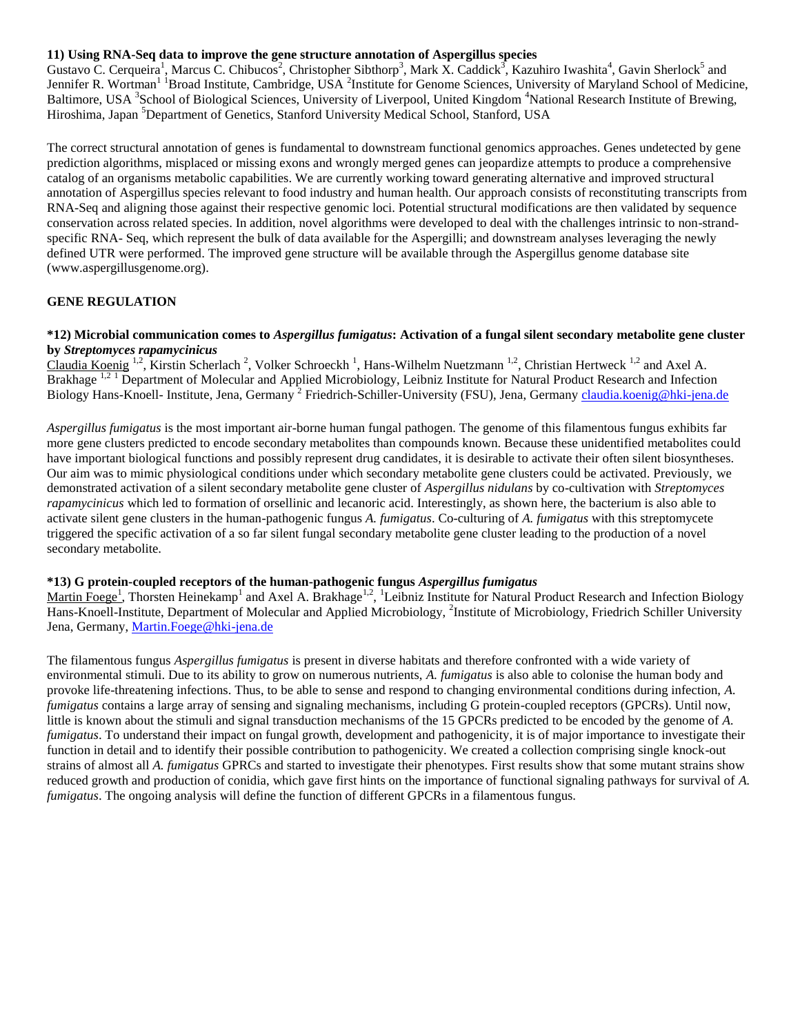#### **11) Using RNA-Seq data to improve the gene structure annotation of Aspergillus species**

Gustavo C. Cerqueira<sup>1</sup>, Marcus C. Chibucos<sup>2</sup>, Christopher Sibthorp<sup>3</sup>, Mark X. Caddick<sup>3</sup>, Kazuhiro Iwashita<sup>4</sup>, Gavin Sherlock<sup>5</sup> and Jennifer R. Wortman<sup>11</sup> Broad Institute, Cambridge, USA<sup>2</sup> Institute for Genome Sciences, University of Maryland School of Medicine, Baltimore, USA <sup>3</sup>School of Biological Sciences, University of Liverpool, United Kingdom <sup>4</sup>National Research Institute of Brewing, Hiroshima, Japan <sup>5</sup>Department of Genetics, Stanford University Medical School, Stanford, USA

The correct structural annotation of genes is fundamental to downstream functional genomics approaches. Genes undetected by gene prediction algorithms, misplaced or missing exons and wrongly merged genes can jeopardize attempts to produce a comprehensive catalog of an organisms metabolic capabilities. We are currently working toward generating alternative and improved structural annotation of Aspergillus species relevant to food industry and human health. Our approach consists of reconstituting transcripts from RNA-Seq and aligning those against their respective genomic loci. Potential structural modifications are then validated by sequence conservation across related species. In addition, novel algorithms were developed to deal with the challenges intrinsic to non-strandspecific RNA- Seq, which represent the bulk of data available for the Aspergilli; and downstream analyses leveraging the newly defined UTR were performed. The improved gene structure will be available through the Aspergillus genome database site (www.aspergillusgenome.org).

## **GENE REGULATION**

#### **\*12) Microbial communication comes to** *Aspergillus fumigatus***: Activation of a fungal silent secondary metabolite gene cluster by** *Streptomyces rapamycinicus*

Claudia Koenig <sup>1,2</sup>, Kirstin Scherlach<sup>2</sup>, Volker Schroeckh<sup>1</sup>, Hans-Wilhelm Nuetzmann<sup>1,2</sup>, Christian Hertweck <sup>1,2</sup> and Axel A. Brakhage<sup>1,21</sup> Department of Molecular and Applied Microbiology, Leibniz Institute for Natural Product Research and Infection Biology Hans-Knoell- Institute, Jena, Germany<sup>2</sup> Friedrich-Schiller-University (FSU), Jena, Germany [claudia.koenig@hki-jena.de](mailto:claudia.koenig@hki-jena.de)

*Aspergillus fumigatus* is the most important air-borne human fungal pathogen. The genome of this filamentous fungus exhibits far more gene clusters predicted to encode secondary metabolites than compounds known. Because these unidentified metabolites could have important biological functions and possibly represent drug candidates, it is desirable to activate their often silent biosyntheses. Our aim was to mimic physiological conditions under which secondary metabolite gene clusters could be activated. Previously, we demonstrated activation of a silent secondary metabolite gene cluster of *Aspergillus nidulans* by co-cultivation with *Streptomyces rapamycinicus* which led to formation of orsellinic and lecanoric acid. Interestingly, as shown here, the bacterium is also able to activate silent gene clusters in the human-pathogenic fungus *A. fumigatus*. Co-culturing of *A. fumigatus* with this streptomycete triggered the specific activation of a so far silent fungal secondary metabolite gene cluster leading to the production of a novel secondary metabolite.

# **\*13) G protein-coupled receptors of the human-pathogenic fungus** *Aspergillus fumigatus*

Martin Foege<sup>1</sup>, Thorsten Heinekamp<sup>1</sup> and Axel A. Brakhage<sup>1,2</sup>, <sup>1</sup>Leibniz Institute for Natural Product Research and Infection Biology Hans-Knoell-Institute, Department of Molecular and Applied Microbiology, <sup>2</sup>Institute of Microbiology, Friedrich Schiller University Jena, Germany, [Martin.Foege@hki-jena.de](mailto:Martin.Foege@hki-jena.de)

The filamentous fungus *Aspergillus fumigatus* is present in diverse habitats and therefore confronted with a wide variety of environmental stimuli. Due to its ability to grow on numerous nutrients, *A. fumigatus* is also able to colonise the human body and provoke life-threatening infections. Thus, to be able to sense and respond to changing environmental conditions during infection, *A. fumigatus* contains a large array of sensing and signaling mechanisms, including G protein-coupled receptors (GPCRs). Until now, little is known about the stimuli and signal transduction mechanisms of the 15 GPCRs predicted to be encoded by the genome of *A. fumigatus*. To understand their impact on fungal growth, development and pathogenicity, it is of major importance to investigate their function in detail and to identify their possible contribution to pathogenicity. We created a collection comprising single knock-out strains of almost all *A. fumigatus* GPRCs and started to investigate their phenotypes. First results show that some mutant strains show reduced growth and production of conidia, which gave first hints on the importance of functional signaling pathways for survival of *A. fumigatus*. The ongoing analysis will define the function of different GPCRs in a filamentous fungus.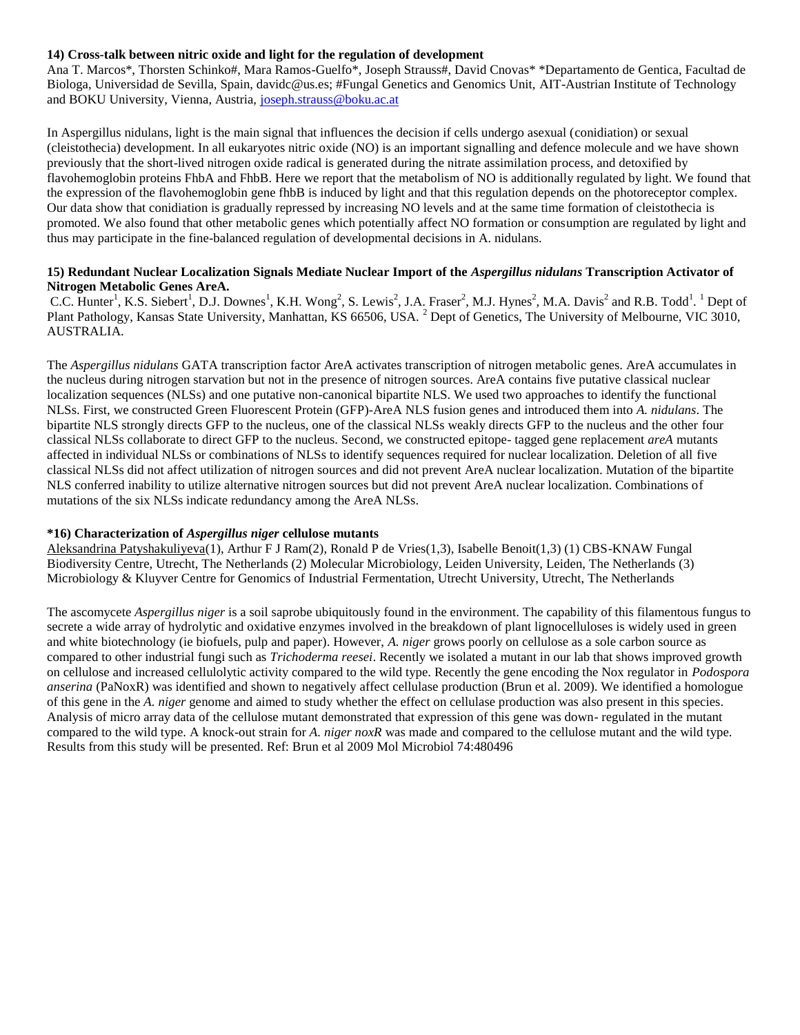## **14) Cross-talk between nitric oxide and light for the regulation of development**

Ana T. Marcos\*, Thorsten Schinko#, Mara Ramos-Guelfo\*, Joseph Strauss#, David Cnovas\* \*Departamento de Gentica, Facultad de Biologa, Universidad de Sevilla, Spain, davidc@us.es; #Fungal Genetics and Genomics Unit, AIT-Austrian Institute of Technology and BOKU University, Vienna, Austria, [joseph.strauss@boku.ac.at](mailto:joseph.strauss@boku.ac.at)

In Aspergillus nidulans, light is the main signal that influences the decision if cells undergo asexual (conidiation) or sexual (cleistothecia) development. In all eukaryotes nitric oxide (NO) is an important signalling and defence molecule and we have shown previously that the short-lived nitrogen oxide radical is generated during the nitrate assimilation process, and detoxified by flavohemoglobin proteins FhbA and FhbB. Here we report that the metabolism of NO is additionally regulated by light. We found that the expression of the flavohemoglobin gene fhbB is induced by light and that this regulation depends on the photoreceptor complex. Our data show that conidiation is gradually repressed by increasing NO levels and at the same time formation of cleistothecia is promoted. We also found that other metabolic genes which potentially affect NO formation or consumption are regulated by light and thus may participate in the fine-balanced regulation of developmental decisions in A. nidulans.

#### **15) Redundant Nuclear Localization Signals Mediate Nuclear Import of the** *Aspergillus nidulans* **Transcription Activator of Nitrogen Metabolic Genes AreA.**

C.C. Hunter<sup>1</sup>, K.S. Siebert<sup>1</sup>, D.J. Downes<sup>1</sup>, K.H. Wong<sup>2</sup>, S. Lewis<sup>2</sup>, J.A. Fraser<sup>2</sup>, M.J. Hynes<sup>2</sup>, M.A. Davis<sup>2</sup> and R.B. Todd<sup>1</sup>. <sup>1</sup> Dept of Plant Pathology, Kansas State University, Manhattan, KS 66506, USA. <sup>2</sup> Dept of Genetics, The University of Melbourne, VIC 3010, AUSTRALIA.

The *Aspergillus nidulans* GATA transcription factor AreA activates transcription of nitrogen metabolic genes. AreA accumulates in the nucleus during nitrogen starvation but not in the presence of nitrogen sources. AreA contains five putative classical nuclear localization sequences (NLSs) and one putative non-canonical bipartite NLS. We used two approaches to identify the functional NLSs. First, we constructed Green Fluorescent Protein (GFP)-AreA NLS fusion genes and introduced them into *A. nidulans*. The bipartite NLS strongly directs GFP to the nucleus, one of the classical NLSs weakly directs GFP to the nucleus and the other four classical NLSs collaborate to direct GFP to the nucleus. Second, we constructed epitope- tagged gene replacement *areA* mutants affected in individual NLSs or combinations of NLSs to identify sequences required for nuclear localization. Deletion of all five classical NLSs did not affect utilization of nitrogen sources and did not prevent AreA nuclear localization. Mutation of the bipartite NLS conferred inability to utilize alternative nitrogen sources but did not prevent AreA nuclear localization. Combinations of mutations of the six NLSs indicate redundancy among the AreA NLSs.

## **\*16) Characterization of** *Aspergillus niger* **cellulose mutants**

Aleksandrina Patyshakuliyeva(1), Arthur F J Ram(2), Ronald P de Vries(1,3), Isabelle Benoit(1,3) (1) CBS-KNAW Fungal Biodiversity Centre, Utrecht, The Netherlands (2) Molecular Microbiology, Leiden University, Leiden, The Netherlands (3) Microbiology & Kluyver Centre for Genomics of Industrial Fermentation, Utrecht University, Utrecht, The Netherlands

The ascomycete *Aspergillus niger* is a soil saprobe ubiquitously found in the environment. The capability of this filamentous fungus to secrete a wide array of hydrolytic and oxidative enzymes involved in the breakdown of plant lignocelluloses is widely used in green and white biotechnology (ie biofuels, pulp and paper). However, *A. niger* grows poorly on cellulose as a sole carbon source as compared to other industrial fungi such as *Trichoderma reesei*. Recently we isolated a mutant in our lab that shows improved growth on cellulose and increased cellulolytic activity compared to the wild type. Recently the gene encoding the Nox regulator in *Podospora anserina* (PaNoxR) was identified and shown to negatively affect cellulase production (Brun et al. 2009). We identified a homologue of this gene in the *A. niger* genome and aimed to study whether the effect on cellulase production was also present in this species. Analysis of micro array data of the cellulose mutant demonstrated that expression of this gene was down- regulated in the mutant compared to the wild type. A knock-out strain for *A. niger noxR* was made and compared to the cellulose mutant and the wild type. Results from this study will be presented. Ref: Brun et al 2009 Mol Microbiol 74:480496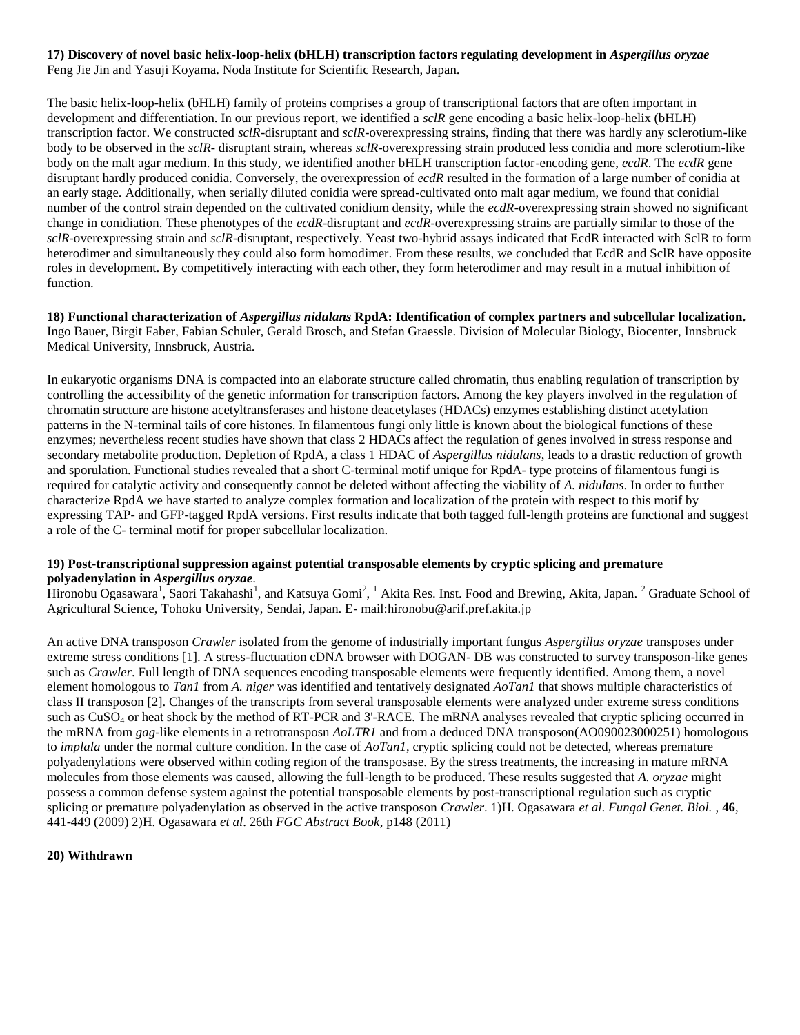## **17) Discovery of novel basic helix-loop-helix (bHLH) transcription factors regulating development in** *Aspergillus oryzae* Feng Jie Jin and Yasuji Koyama. Noda Institute for Scientific Research, Japan.

The basic helix-loop-helix (bHLH) family of proteins comprises a group of transcriptional factors that are often important in development and differentiation. In our previous report, we identified a *sclR* gene encoding a basic helix-loop-helix (bHLH) transcription factor. We constructed *sclR*-disruptant and *sclR*-overexpressing strains, finding that there was hardly any sclerotium-like body to be observed in the *sclR*- disruptant strain, whereas *sclR*-overexpressing strain produced less conidia and more sclerotium-like body on the malt agar medium. In this study, we identified another bHLH transcription factor-encoding gene, *ecdR*. The *ecdR* gene disruptant hardly produced conidia. Conversely, the overexpression of *ecdR* resulted in the formation of a large number of conidia at an early stage. Additionally, when serially diluted conidia were spread-cultivated onto malt agar medium, we found that conidial number of the control strain depended on the cultivated conidium density, while the *ecdR*-overexpressing strain showed no significant change in conidiation. These phenotypes of the *ecdR*-disruptant and *ecdR*-overexpressing strains are partially similar to those of the *sclR*-overexpressing strain and *sclR*-disruptant, respectively. Yeast two-hybrid assays indicated that EcdR interacted with SclR to form heterodimer and simultaneously they could also form homodimer. From these results, we concluded that EcdR and SclR have opposite roles in development. By competitively interacting with each other, they form heterodimer and may result in a mutual inhibition of function.

**18) Functional characterization of** *Aspergillus nidulans* **RpdA: Identification of complex partners and subcellular localization.** Ingo Bauer, Birgit Faber, Fabian Schuler, Gerald Brosch, and Stefan Graessle. Division of Molecular Biology, Biocenter, Innsbruck Medical University, Innsbruck, Austria.

In eukaryotic organisms DNA is compacted into an elaborate structure called chromatin, thus enabling regulation of transcription by controlling the accessibility of the genetic information for transcription factors. Among the key players involved in the regulation of chromatin structure are histone acetyltransferases and histone deacetylases (HDACs) enzymes establishing distinct acetylation patterns in the N-terminal tails of core histones. In filamentous fungi only little is known about the biological functions of these enzymes; nevertheless recent studies have shown that class 2 HDACs affect the regulation of genes involved in stress response and secondary metabolite production. Depletion of RpdA, a class 1 HDAC of *Aspergillus nidulans*, leads to a drastic reduction of growth and sporulation. Functional studies revealed that a short C-terminal motif unique for RpdA- type proteins of filamentous fungi is required for catalytic activity and consequently cannot be deleted without affecting the viability of *A. nidulans*. In order to further characterize RpdA we have started to analyze complex formation and localization of the protein with respect to this motif by expressing TAP- and GFP-tagged RpdA versions. First results indicate that both tagged full-length proteins are functional and suggest a role of the C- terminal motif for proper subcellular localization.

## **19) Post-transcriptional suppression against potential transposable elements by cryptic splicing and premature polyadenylation in** *Aspergillus oryzae*.

Hironobu Ogasawara<sup>1</sup>, Saori Takahashi<sup>1</sup>, and Katsuya Gomi<sup>2</sup>, <sup>1</sup> Akita Res. Inst. Food and Brewing, Akita, Japan. <sup>2</sup> Graduate School of Agricultural Science, Tohoku University, Sendai, Japan. E- mail:hironobu@arif.pref.akita.jp

An active DNA transposon *Crawler* isolated from the genome of industrially important fungus *Aspergillus oryzae* transposes under extreme stress conditions [1]. A stress-fluctuation cDNA browser with DOGAN- DB was constructed to survey transposon-like genes such as *Crawler*. Full length of DNA sequences encoding transposable elements were frequently identified. Among them, a novel element homologous to *Tan1* from *A. niger* was identified and tentatively designated *AoTan1* that shows multiple characteristics of class II transposon [2]. Changes of the transcripts from several transposable elements were analyzed under extreme stress conditions such as CuSO<sub>4</sub> or heat shock by the method of RT-PCR and 3'-RACE. The mRNA analyses revealed that cryptic splicing occurred in the mRNA from *gag*-like elements in a retrotransposn *AoLTR1* and from a deduced DNA transposon(AO090023000251) homologous to *implala* under the normal culture condition. In the case of *AoTan1*, cryptic splicing could not be detected, whereas premature polyadenylations were observed within coding region of the transposase. By the stress treatments, the increasing in mature mRNA molecules from those elements was caused, allowing the full-length to be produced. These results suggested that *A. oryzae* might possess a common defense system against the potential transposable elements by post-transcriptional regulation such as cryptic splicing or premature polyadenylation as observed in the active transposon *Crawler*. 1)H. Ogasawara *et al*. *Fungal Genet. Biol.* , **46**, 441-449 (2009) 2)H. Ogasawara *et al*. 26th *FGC Abstract Book*, p148 (2011)

## **20) Withdrawn**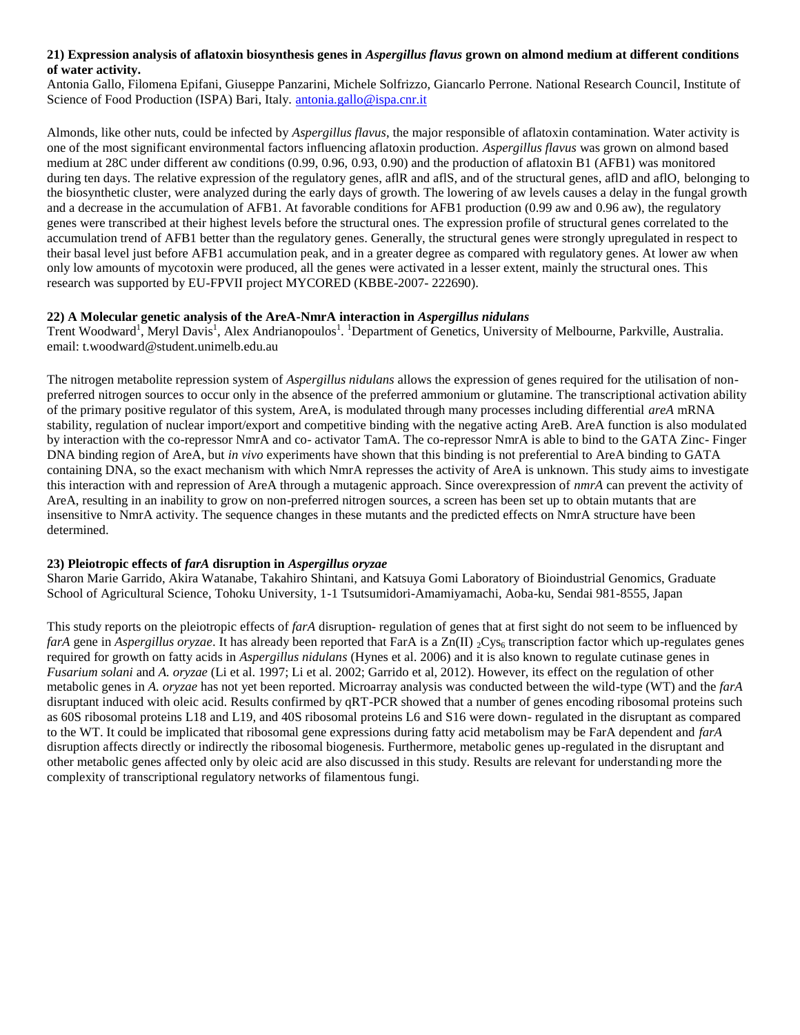# **21) Expression analysis of aflatoxin biosynthesis genes in** *Aspergillus flavus* **grown on almond medium at different conditions of water activity.**

Antonia Gallo, Filomena Epifani, Giuseppe Panzarini, Michele Solfrizzo, Giancarlo Perrone. National Research Council, Institute of Science of Food Production (ISPA) Bari, Italy. [antonia.gallo@ispa.cnr.it](mailto:antonia.gallo@ispa.cnr.it)

Almonds, like other nuts, could be infected by *Aspergillus flavus*, the major responsible of aflatoxin contamination. Water activity is one of the most significant environmental factors influencing aflatoxin production. *Aspergillus flavus* was grown on almond based medium at 28C under different aw conditions (0.99, 0.96, 0.93, 0.90) and the production of aflatoxin B1 (AFB1) was monitored during ten days. The relative expression of the regulatory genes, aflR and aflS, and of the structural genes, aflD and aflO, belonging to the biosynthetic cluster, were analyzed during the early days of growth. The lowering of aw levels causes a delay in the fungal growth and a decrease in the accumulation of AFB1. At favorable conditions for AFB1 production (0.99 aw and 0.96 aw), the regulatory genes were transcribed at their highest levels before the structural ones. The expression profile of structural genes correlated to the accumulation trend of AFB1 better than the regulatory genes. Generally, the structural genes were strongly upregulated in respect to their basal level just before AFB1 accumulation peak, and in a greater degree as compared with regulatory genes. At lower aw when only low amounts of mycotoxin were produced, all the genes were activated in a lesser extent, mainly the structural ones. This research was supported by EU-FPVII project MYCORED (KBBE-2007- 222690).

## **22) A Molecular genetic analysis of the AreA-NmrA interaction in** *Aspergillus nidulans*

Trent Woodward<sup>1</sup>, Meryl Davis<sup>1</sup>, Alex Andrianopoulos<sup>1</sup>. <sup>1</sup>Department of Genetics, University of Melbourne, Parkville, Australia. email: t.woodward@student.unimelb.edu.au

The nitrogen metabolite repression system of *Aspergillus nidulans* allows the expression of genes required for the utilisation of nonpreferred nitrogen sources to occur only in the absence of the preferred ammonium or glutamine. The transcriptional activation ability of the primary positive regulator of this system, AreA, is modulated through many processes including differential *areA* mRNA stability, regulation of nuclear import/export and competitive binding with the negative acting AreB. AreA function is also modulated by interaction with the co-repressor NmrA and co- activator TamA. The co-repressor NmrA is able to bind to the GATA Zinc- Finger DNA binding region of AreA, but *in vivo* experiments have shown that this binding is not preferential to AreA binding to GATA containing DNA, so the exact mechanism with which NmrA represses the activity of AreA is unknown. This study aims to investigate this interaction with and repression of AreA through a mutagenic approach. Since overexpression of *nmrA* can prevent the activity of AreA, resulting in an inability to grow on non-preferred nitrogen sources, a screen has been set up to obtain mutants that are insensitive to NmrA activity. The sequence changes in these mutants and the predicted effects on NmrA structure have been determined.

# **23) Pleiotropic effects of** *farA* **disruption in** *Aspergillus oryzae*

Sharon Marie Garrido, Akira Watanabe, Takahiro Shintani, and Katsuya Gomi Laboratory of Bioindustrial Genomics, Graduate School of Agricultural Science, Tohoku University, 1-1 Tsutsumidori-Amamiyamachi, Aoba-ku, Sendai 981-8555, Japan

This study reports on the pleiotropic effects of *farA* disruption- regulation of genes that at first sight do not seem to be influenced by *farA* gene in *Aspergillus oryzae*. It has already been reported that FarA is a Zn(II) <sub>2</sub>Cys<sub>6</sub> transcription factor which up-regulates genes required for growth on fatty acids in *Aspergillus nidulans* (Hynes et al. 2006) and it is also known to regulate cutinase genes in *Fusarium solani* and *A. oryzae* (Li et al. 1997; Li et al. 2002; Garrido et al, 2012). However, its effect on the regulation of other metabolic genes in *A. oryzae* has not yet been reported. Microarray analysis was conducted between the wild-type (WT) and the *farA* disruptant induced with oleic acid. Results confirmed by qRT-PCR showed that a number of genes encoding ribosomal proteins such as 60S ribosomal proteins L18 and L19, and 40S ribosomal proteins L6 and S16 were down- regulated in the disruptant as compared to the WT. It could be implicated that ribosomal gene expressions during fatty acid metabolism may be FarA dependent and *farA* disruption affects directly or indirectly the ribosomal biogenesis. Furthermore, metabolic genes up-regulated in the disruptant and other metabolic genes affected only by oleic acid are also discussed in this study. Results are relevant for understanding more the complexity of transcriptional regulatory networks of filamentous fungi.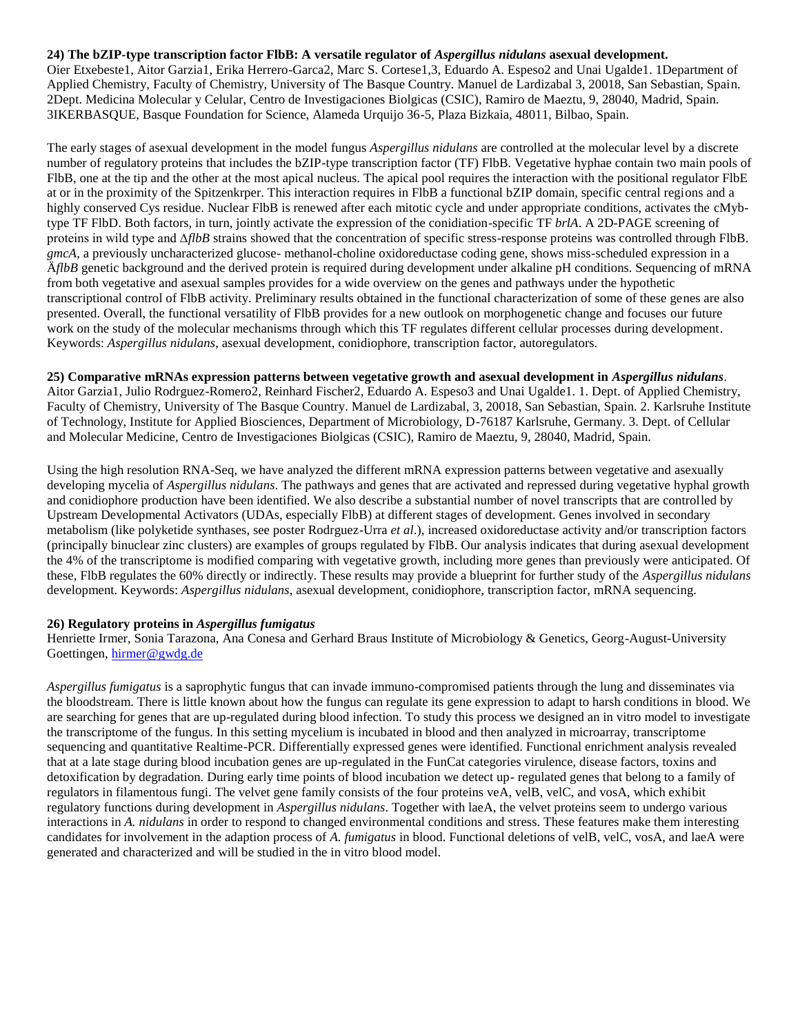#### **24) The bZIP-type transcription factor FlbB: A versatile regulator of** *Aspergillus nidulans* **asexual development.**

Oier Etxebeste1, Aitor Garzia1, Erika Herrero-Garca2, Marc S. Cortese1,3, Eduardo A. Espeso2 and Unai Ugalde1. 1Department of Applied Chemistry, Faculty of Chemistry, University of The Basque Country. Manuel de Lardizabal 3, 20018, San Sebastian, Spain. 2Dept. Medicina Molecular y Celular, Centro de Investigaciones Biolgicas (CSIC), Ramiro de Maeztu, 9, 28040, Madrid, Spain. 3IKERBASQUE, Basque Foundation for Science, Alameda Urquijo 36-5, Plaza Bizkaia, 48011, Bilbao, Spain.

The early stages of asexual development in the model fungus *Aspergillus nidulans* are controlled at the molecular level by a discrete number of regulatory proteins that includes the bZIP-type transcription factor (TF) FlbB. Vegetative hyphae contain two main pools of FlbB, one at the tip and the other at the most apical nucleus. The apical pool requires the interaction with the positional regulator FlbE at or in the proximity of the Spitzenkrper. This interaction requires in FlbB a functional bZIP domain, specific central regions and a highly conserved Cys residue. Nuclear FlbB is renewed after each mitotic cycle and under appropriate conditions, activates the cMybtype TF FlbD. Both factors, in turn, jointly activate the expression of the conidiation-specific TF *brlA*. A 2D-PAGE screening of proteins in wild type and ∆*flbB* strains showed that the concentration of specific stress-response proteins was controlled through FlbB. *gmcA*, a previously uncharacterized glucose- methanol-choline oxidoreductase coding gene, shows miss-scheduled expression in a Ä*flbB* genetic background and the derived protein is required during development under alkaline pH conditions. Sequencing of mRNA from both vegetative and asexual samples provides for a wide overview on the genes and pathways under the hypothetic transcriptional control of FlbB activity. Preliminary results obtained in the functional characterization of some of these genes are also presented. Overall, the functional versatility of FlbB provides for a new outlook on morphogenetic change and focuses our future work on the study of the molecular mechanisms through which this TF regulates different cellular processes during development. Keywords: *Aspergillus nidulans*, asexual development, conidiophore, transcription factor, autoregulators.

#### **25) Comparative mRNAs expression patterns between vegetative growth and asexual development in** *Aspergillus nidulans*.

Aitor Garzia1, Julio Rodrguez-Romero2, Reinhard Fischer2, Eduardo A. Espeso3 and Unai Ugalde1. 1. Dept. of Applied Chemistry, Faculty of Chemistry, University of The Basque Country. Manuel de Lardizabal, 3, 20018, San Sebastian, Spain. 2. Karlsruhe Institute of Technology, Institute for Applied Biosciences, Department of Microbiology, D-76187 Karlsruhe, Germany. 3. Dept. of Cellular and Molecular Medicine, Centro de Investigaciones Biolgicas (CSIC), Ramiro de Maeztu, 9, 28040, Madrid, Spain.

Using the high resolution RNA-Seq, we have analyzed the different mRNA expression patterns between vegetative and asexually developing mycelia of *Aspergillus nidulans*. The pathways and genes that are activated and repressed during vegetative hyphal growth and conidiophore production have been identified. We also describe a substantial number of novel transcripts that are controlled by Upstream Developmental Activators (UDAs, especially FlbB) at different stages of development. Genes involved in secondary metabolism (like polyketide synthases, see poster Rodrguez-Urra *et al*.), increased oxidoreductase activity and/or transcription factors (principally binuclear zinc clusters) are examples of groups regulated by FlbB. Our analysis indicates that during asexual development the 4% of the transcriptome is modified comparing with vegetative growth, including more genes than previously were anticipated. Of these, FlbB regulates the 60% directly or indirectly. These results may provide a blueprint for further study of the *Aspergillus nidulans* development. Keywords: *Aspergillus nidulans*, asexual development, conidiophore, transcription factor, mRNA sequencing.

#### **26) Regulatory proteins in** *Aspergillus fumigatus*

Henriette Irmer, Sonia Tarazona, Ana Conesa and Gerhard Braus Institute of Microbiology & Genetics, Georg-August-University Goettingen, [hirmer@gwdg.de](mailto:hirmer@gwdg.de)

*Aspergillus fumigatus* is a saprophytic fungus that can invade immuno-compromised patients through the lung and disseminates via the bloodstream. There is little known about how the fungus can regulate its gene expression to adapt to harsh conditions in blood. We are searching for genes that are up-regulated during blood infection. To study this process we designed an in vitro model to investigate the transcriptome of the fungus. In this setting mycelium is incubated in blood and then analyzed in microarray, transcriptome sequencing and quantitative Realtime-PCR. Differentially expressed genes were identified. Functional enrichment analysis revealed that at a late stage during blood incubation genes are up-regulated in the FunCat categories virulence, disease factors, toxins and detoxification by degradation. During early time points of blood incubation we detect up- regulated genes that belong to a family of regulators in filamentous fungi. The velvet gene family consists of the four proteins veA, velB, velC, and vosA, which exhibit regulatory functions during development in *Aspergillus nidulans*. Together with laeA, the velvet proteins seem to undergo various interactions in *A. nidulans* in order to respond to changed environmental conditions and stress. These features make them interesting candidates for involvement in the adaption process of *A. fumigatus* in blood. Functional deletions of velB, velC, vosA, and laeA were generated and characterized and will be studied in the in vitro blood model.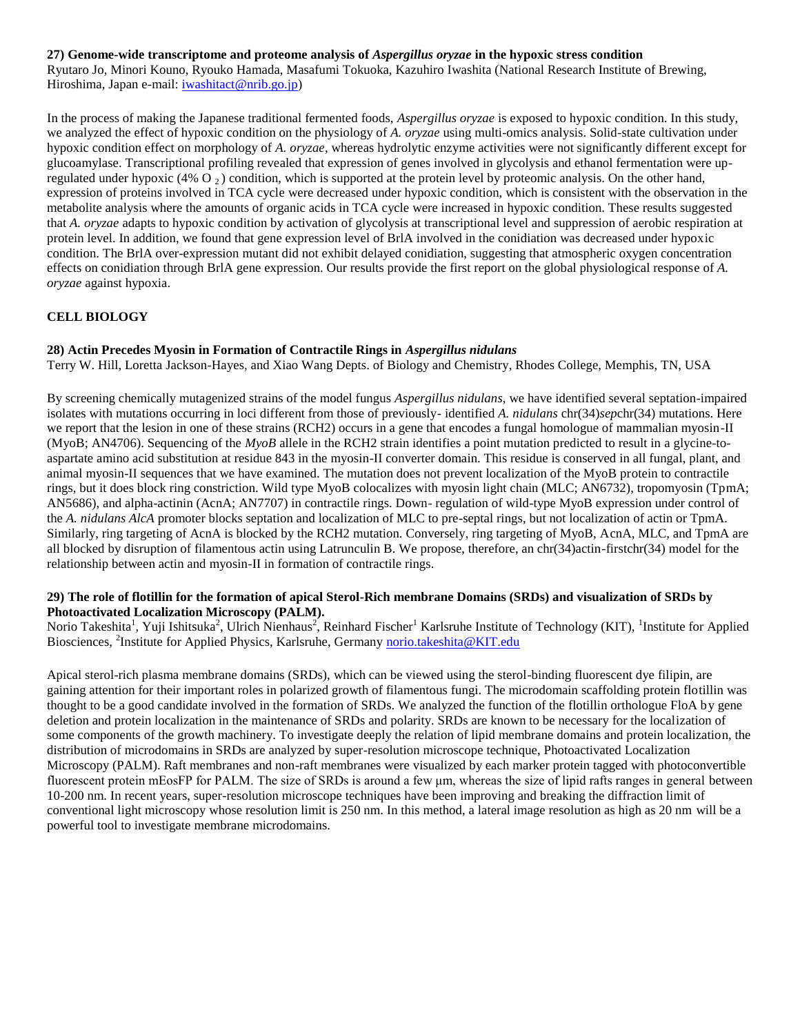## **27) Genome-wide transcriptome and proteome analysis of** *Aspergillus oryzae* **in the hypoxic stress condition**

Ryutaro Jo, Minori Kouno, Ryouko Hamada, Masafumi Tokuoka, Kazuhiro Iwashita (National Research Institute of Brewing, Hiroshima, Japan e-mail: [iwashitact@nrib.go.jp\)](mailto:iwashitact@nrib.go.jp)

In the process of making the Japanese traditional fermented foods, *Aspergillus oryzae* is exposed to hypoxic condition. In this study, we analyzed the effect of hypoxic condition on the physiology of *A. oryzae* using multi-omics analysis. Solid-state cultivation under hypoxic condition effect on morphology of *A. oryzae*, whereas hydrolytic enzyme activities were not significantly different except for glucoamylase. Transcriptional profiling revealed that expression of genes involved in glycolysis and ethanol fermentation were upregulated under hypoxic (4% O  $_2$ ) condition, which is supported at the protein level by proteomic analysis. On the other hand, expression of proteins involved in TCA cycle were decreased under hypoxic condition, which is consistent with the observation in the metabolite analysis where the amounts of organic acids in TCA cycle were increased in hypoxic condition. These results suggested that *A. oryzae* adapts to hypoxic condition by activation of glycolysis at transcriptional level and suppression of aerobic respiration at protein level. In addition, we found that gene expression level of BrlA involved in the conidiation was decreased under hypoxic condition. The BrlA over-expression mutant did not exhibit delayed conidiation, suggesting that atmospheric oxygen concentration effects on conidiation through BrlA gene expression. Our results provide the first report on the global physiological response of *A. oryzae* against hypoxia.

# **CELL BIOLOGY**

## **28) Actin Precedes Myosin in Formation of Contractile Rings in** *Aspergillus nidulans*

Terry W. Hill, Loretta Jackson-Hayes, and Xiao Wang Depts. of Biology and Chemistry, Rhodes College, Memphis, TN, USA

By screening chemically mutagenized strains of the model fungus *Aspergillus nidulans*, we have identified several septation-impaired isolates with mutations occurring in loci different from those of previously- identified *A. nidulans* chr(34)*sep*chr(34) mutations. Here we report that the lesion in one of these strains (RCH2) occurs in a gene that encodes a fungal homologue of mammalian myosin-II (MyoB; AN4706). Sequencing of the *MyoB* allele in the RCH2 strain identifies a point mutation predicted to result in a glycine-toaspartate amino acid substitution at residue 843 in the myosin-II converter domain. This residue is conserved in all fungal, plant, and animal myosin-II sequences that we have examined. The mutation does not prevent localization of the MyoB protein to contractile rings, but it does block ring constriction. Wild type MyoB colocalizes with myosin light chain (MLC; AN6732), tropomyosin (TpmA; AN5686), and alpha-actinin (AcnA; AN7707) in contractile rings. Down- regulation of wild-type MyoB expression under control of the *A. nidulans AlcA* promoter blocks septation and localization of MLC to pre-septal rings, but not localization of actin or TpmA. Similarly, ring targeting of AcnA is blocked by the RCH2 mutation. Conversely, ring targeting of MyoB, AcnA, MLC, and TpmA are all blocked by disruption of filamentous actin using Latrunculin B. We propose, therefore, an chr(34)actin-firstchr(34) model for the relationship between actin and myosin-II in formation of contractile rings.

#### **29) The role of flotillin for the formation of apical Sterol-Rich membrane Domains (SRDs) and visualization of SRDs by Photoactivated Localization Microscopy (PALM).**

Norio Takeshita<sup>1</sup>, Yuji Ishitsuka<sup>2</sup>, Ulrich Nienhaus<sup>2</sup>, Reinhard Fischer<sup>1</sup> Karlsruhe Institute of Technology (KIT), <sup>1</sup>Institute for Applied Biosciences, <sup>2</sup>Institute for Applied Physics, Karlsruhe, Germany [norio.takeshita@KIT.edu](mailto:norio.takeshita@KIT.edu)

Apical sterol-rich plasma membrane domains (SRDs), which can be viewed using the sterol-binding fluorescent dye filipin, are gaining attention for their important roles in polarized growth of filamentous fungi. The microdomain scaffolding protein flotillin was thought to be a good candidate involved in the formation of SRDs. We analyzed the function of the flotillin orthologue FloA by gene deletion and protein localization in the maintenance of SRDs and polarity. SRDs are known to be necessary for the localization of some components of the growth machinery. To investigate deeply the relation of lipid membrane domains and protein localization, the distribution of microdomains in SRDs are analyzed by super-resolution microscope technique, Photoactivated Localization Microscopy (PALM). Raft membranes and non-raft membranes were visualized by each marker protein tagged with photoconvertible fluorescent protein mEosFP for PALM. The size of SRDs is around a few  $\mu$ m, whereas the size of lipid rafts ranges in general between 10-200 nm. In recent years, super-resolution microscope techniques have been improving and breaking the diffraction limit of conventional light microscopy whose resolution limit is 250 nm. In this method, a lateral image resolution as high as 20 nm will be a powerful tool to investigate membrane microdomains.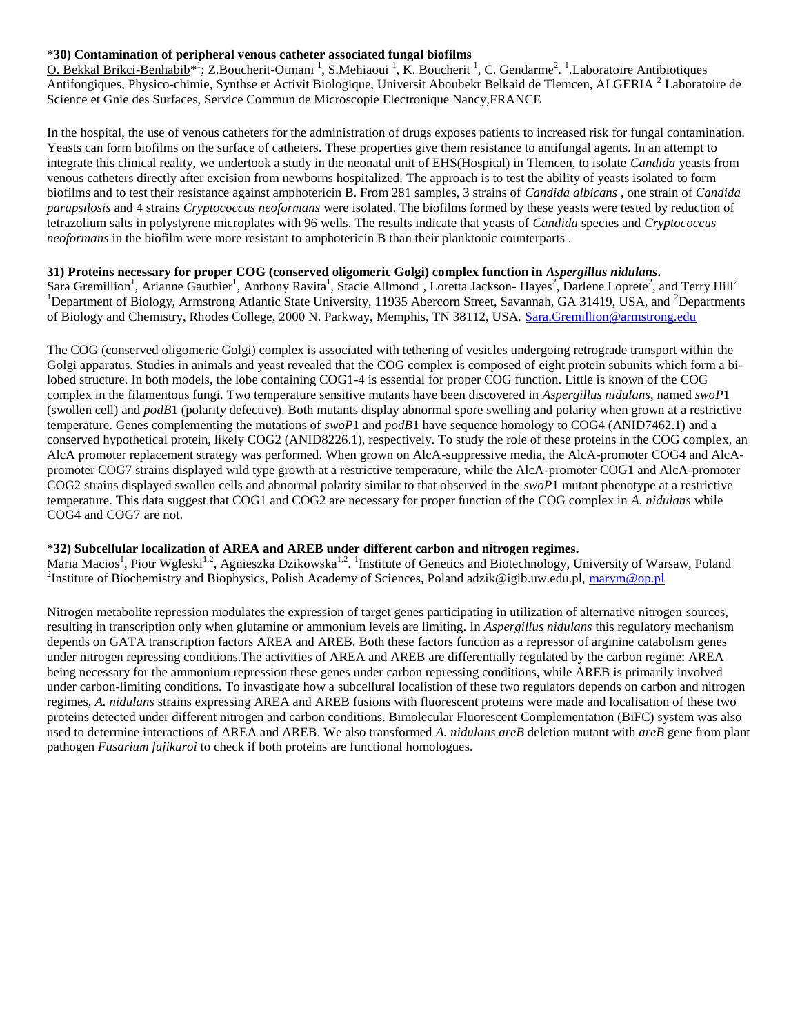## **\*30) Contamination of peripheral venous catheter associated fungal biofilms**

O. Bekkal Brikci-Benhabib<sup>\* f</sup>; Z.Boucherit-Otmani<sup>1</sup>, S.Mehiaoui<sup>1</sup>, K. Boucherit<sup>1</sup>, C. Gendarme<sup>2</sup>. <sup>1</sup>. Laboratoire Antibiotiques Antifongiques, Physico-chimie, Synthse et Activit Biologique, Universit Aboubekr Belkaid de Tlemcen, ALGERIA<sup>2</sup> Laboratoire de Science et Gnie des Surfaces, Service Commun de Microscopie Electronique Nancy,FRANCE

In the hospital, the use of venous catheters for the administration of drugs exposes patients to increased risk for fungal contamination. Yeasts can form biofilms on the surface of catheters. These properties give them resistance to antifungal agents. In an attempt to integrate this clinical reality, we undertook a study in the neonatal unit of EHS(Hospital) in Tlemcen, to isolate *Candida* yeasts from venous catheters directly after excision from newborns hospitalized. The approach is to test the ability of yeasts isolated to form biofilms and to test their resistance against amphotericin B. From 281 samples, 3 strains of *Candida albicans* , one strain of *Candida parapsilosis* and 4 strains *Cryptococcus neoformans* were isolated. The biofilms formed by these yeasts were tested by reduction of tetrazolium salts in polystyrene microplates with 96 wells. The results indicate that yeasts of *Candida* species and *Cryptococcus neoformans* in the biofilm were more resistant to amphotericin B than their planktonic counterparts .

## **31) Proteins necessary for proper COG (conserved oligomeric Golgi) complex function in** *Aspergillus nidulans***.**

Sara Gremillion<sup>1</sup>, Arianne Gauthier<sup>1</sup>, Anthony Ravita<sup>1</sup>, Stacie Allmond<sup>1</sup>, Loretta Jackson- Hayes<sup>2</sup>, Darlene Loprete<sup>2</sup>, and Terry Hill<sup>2</sup> <sup>1</sup>Department of Biology, Armstrong Atlantic State University, 11935 Abercorn Street, Savannah, GA 31419, USA, and <sup>2</sup>Departments of Biology and Chemistry, Rhodes College, 2000 N. Parkway, Memphis, TN 38112, USA. [Sara.Gremillion@armstrong.edu](mailto:Sara.Gremillion@armstrong.edu)

The COG (conserved oligomeric Golgi) complex is associated with tethering of vesicles undergoing retrograde transport within the Golgi apparatus. Studies in animals and yeast revealed that the COG complex is composed of eight protein subunits which form a bilobed structure. In both models, the lobe containing COG1-4 is essential for proper COG function. Little is known of the COG complex in the filamentous fungi. Two temperature sensitive mutants have been discovered in *Aspergillus nidulans*, named *swoP*1 (swollen cell) and *podB*1 (polarity defective). Both mutants display abnormal spore swelling and polarity when grown at a restrictive temperature. Genes complementing the mutations of *swoP*1 and *podB*1 have sequence homology to COG4 (ANID7462.1) and a conserved hypothetical protein, likely COG2 (ANID8226.1), respectively. To study the role of these proteins in the COG complex, an AlcA promoter replacement strategy was performed. When grown on AlcA-suppressive media, the AlcA-promoter COG4 and AlcApromoter COG7 strains displayed wild type growth at a restrictive temperature, while the AlcA-promoter COG1 and AlcA-promoter COG2 strains displayed swollen cells and abnormal polarity similar to that observed in the *swoP*1 mutant phenotype at a restrictive temperature. This data suggest that COG1 and COG2 are necessary for proper function of the COG complex in *A. nidulans* while COG4 and COG7 are not.

# **\*32) Subcellular localization of AREA and AREB under different carbon and nitrogen regimes.**

Maria Macios<sup>1</sup>, Piotr Wgleski<sup>1,2</sup>, Agnieszka Dzikowska<sup>1,2</sup>. <sup>1</sup>Institute of Genetics and Biotechnology, University of Warsaw, Poland <sup>2</sup>Institute of Biochemistry and Biophysics, Polish Academy of Sciences, Poland adzik@igib.uw.edu.pl, [marym@op.pl](mailto:marym@op.pl)

Nitrogen metabolite repression modulates the expression of target genes participating in utilization of alternative nitrogen sources, resulting in transcription only when glutamine or ammonium levels are limiting. In *Aspergillus nidulans* this regulatory mechanism depends on GATA transcription factors AREA and AREB. Both these factors function as a repressor of arginine catabolism genes under nitrogen repressing conditions.The activities of AREA and AREB are differentially regulated by the carbon regime: AREA being necessary for the ammonium repression these genes under carbon repressing conditions, while AREB is primarily involved under carbon-limiting conditions. To invastigate how a subcellural localistion of these two regulators depends on carbon and nitrogen regimes, *A. nidulans* strains expressing AREA and AREB fusions with fluorescent proteins were made and localisation of these two proteins detected under different nitrogen and carbon conditions. Bimolecular Fluorescent Complementation (BiFC) system was also used to determine interactions of AREA and AREB. We also transformed *A. nidulans areB* deletion mutant with *areB* gene from plant pathogen *Fusarium fujikuroi* to check if both proteins are functional homologues.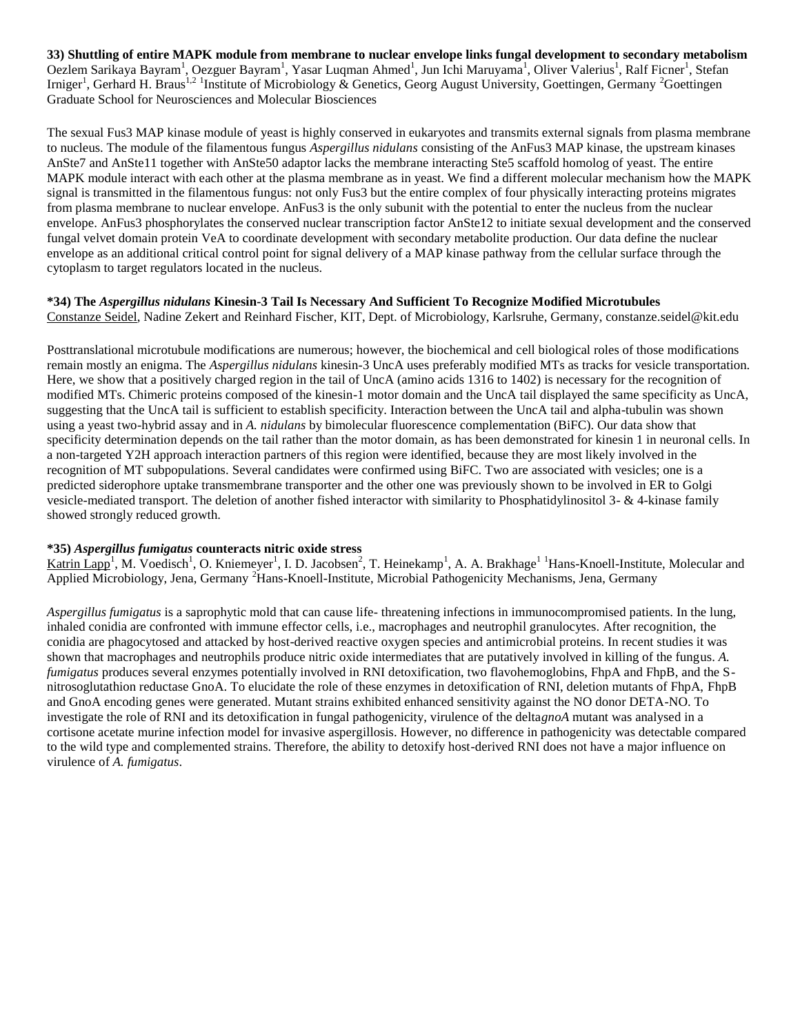**33) Shuttling of entire MAPK module from membrane to nuclear envelope links fungal development to secondary metabolism**  Oezlem Sarikaya Bayram<sup>1</sup>, Oezguer Bayram<sup>1</sup>, Yasar Luqman Ahmed<sup>1</sup>, Jun Ichi Maruyama<sup>1</sup>, Oliver Valerius<sup>1</sup>, Ralf Ficner<sup>1</sup>, Stefan Irniger<sup>1</sup>, Gerhard H. Braus<sup>1,2</sup> <sup>1</sup>Institute of Microbiology & Genetics, Georg August University, Goettingen, Germany <sup>2</sup>Goettingen Graduate School for Neurosciences and Molecular Biosciences

The sexual Fus3 MAP kinase module of yeast is highly conserved in eukaryotes and transmits external signals from plasma membrane to nucleus. The module of the filamentous fungus *Aspergillus nidulans* consisting of the AnFus3 MAP kinase, the upstream kinases AnSte7 and AnSte11 together with AnSte50 adaptor lacks the membrane interacting Ste5 scaffold homolog of yeast. The entire MAPK module interact with each other at the plasma membrane as in yeast. We find a different molecular mechanism how the MAPK signal is transmitted in the filamentous fungus: not only Fus3 but the entire complex of four physically interacting proteins migrates from plasma membrane to nuclear envelope. AnFus3 is the only subunit with the potential to enter the nucleus from the nuclear envelope. AnFus3 phosphorylates the conserved nuclear transcription factor AnSte12 to initiate sexual development and the conserved fungal velvet domain protein VeA to coordinate development with secondary metabolite production. Our data define the nuclear envelope as an additional critical control point for signal delivery of a MAP kinase pathway from the cellular surface through the cytoplasm to target regulators located in the nucleus.

# **\*34) The** *Aspergillus nidulans* **Kinesin-3 Tail Is Necessary And Sufficient To Recognize Modified Microtubules**

Constanze Seidel, Nadine Zekert and Reinhard Fischer, KIT, Dept. of Microbiology, Karlsruhe, Germany, constanze.seidel@kit.edu

Posttranslational microtubule modifications are numerous; however, the biochemical and cell biological roles of those modifications remain mostly an enigma. The *Aspergillus nidulans* kinesin-3 UncA uses preferably modified MTs as tracks for vesicle transportation. Here, we show that a positively charged region in the tail of UncA (amino acids 1316 to 1402) is necessary for the recognition of modified MTs. Chimeric proteins composed of the kinesin-1 motor domain and the UncA tail displayed the same specificity as UncA, suggesting that the UncA tail is sufficient to establish specificity. Interaction between the UncA tail and alpha-tubulin was shown using a yeast two-hybrid assay and in *A. nidulans* by bimolecular fluorescence complementation (BiFC). Our data show that specificity determination depends on the tail rather than the motor domain, as has been demonstrated for kinesin 1 in neuronal cells. In a non-targeted Y2H approach interaction partners of this region were identified, because they are most likely involved in the recognition of MT subpopulations. Several candidates were confirmed using BiFC. Two are associated with vesicles; one is a predicted siderophore uptake transmembrane transporter and the other one was previously shown to be involved in ER to Golgi vesicle-mediated transport. The deletion of another fished interactor with similarity to Phosphatidylinositol 3- & 4-kinase family showed strongly reduced growth.

## **\*35)** *Aspergillus fumigatus* **counteracts nitric oxide stress**

 $Katrin \text{ Lapp}^1$ , M. Voedisch<sup>1</sup>, O. Kniemeyer<sup>1</sup>, I. D. Jacobsen<sup>2</sup>, T. Heinekamp<sup>1</sup>, A. A. Brakhage<sup>11</sup>Hans-Knoell-Institute, Molecular and Applied Microbiology, Jena, Germany <sup>2</sup>Hans-Knoell-Institute, Microbial Pathogenicity Mechanisms, Jena, Germany

*Aspergillus fumigatus* is a saprophytic mold that can cause life- threatening infections in immunocompromised patients. In the lung, inhaled conidia are confronted with immune effector cells, i.e., macrophages and neutrophil granulocytes. After recognition, the conidia are phagocytosed and attacked by host-derived reactive oxygen species and antimicrobial proteins. In recent studies it was shown that macrophages and neutrophils produce nitric oxide intermediates that are putatively involved in killing of the fungus. *A. fumigatus* produces several enzymes potentially involved in RNI detoxification, two flavohemoglobins, FhpA and FhpB, and the Snitrosoglutathion reductase GnoA. To elucidate the role of these enzymes in detoxification of RNI, deletion mutants of FhpA, FhpB and GnoA encoding genes were generated. Mutant strains exhibited enhanced sensitivity against the NO donor DETA-NO. To investigate the role of RNI and its detoxification in fungal pathogenicity, virulence of the delta*gnoA* mutant was analysed in a cortisone acetate murine infection model for invasive aspergillosis. However, no difference in pathogenicity was detectable compared to the wild type and complemented strains. Therefore, the ability to detoxify host-derived RNI does not have a major influence on virulence of *A. fumigatus*.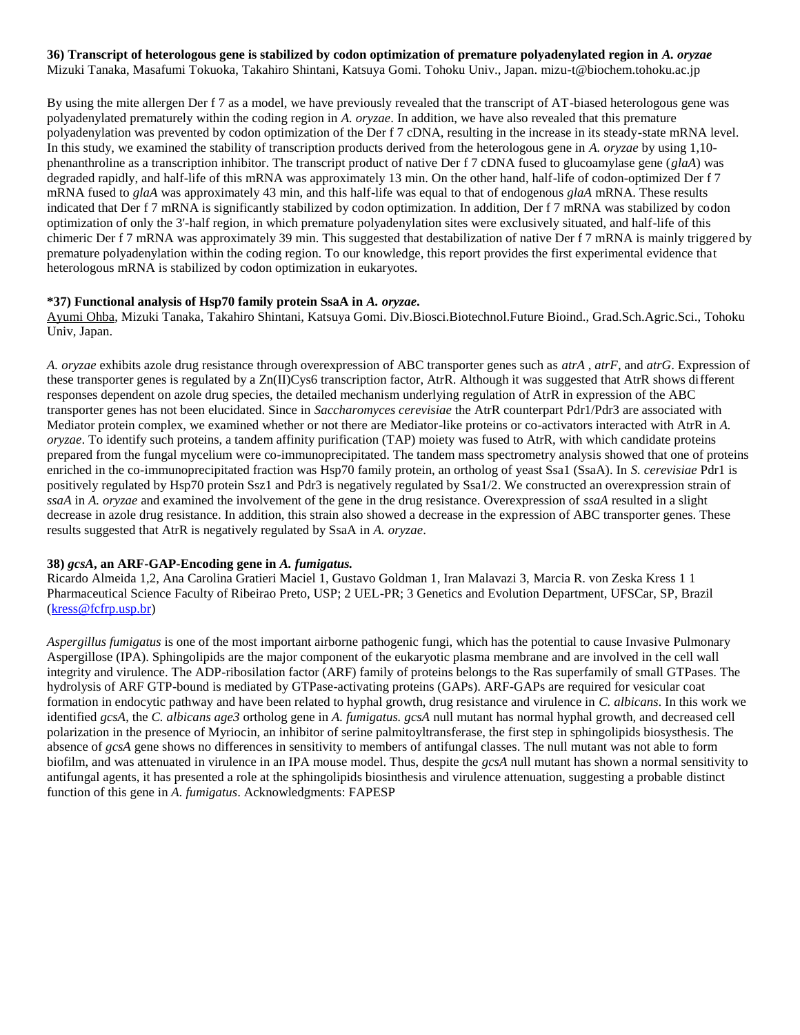#### **36) Transcript of heterologous gene is stabilized by codon optimization of premature polyadenylated region in** *A. oryzae* Mizuki Tanaka, Masafumi Tokuoka, Takahiro Shintani, Katsuya Gomi. Tohoku Univ., Japan. mizu-t@biochem.tohoku.ac.jp

By using the mite allergen Der f 7 as a model, we have previously revealed that the transcript of AT-biased heterologous gene was polyadenylated prematurely within the coding region in *A. oryzae*. In addition, we have also revealed that this premature polyadenylation was prevented by codon optimization of the Der f 7 cDNA, resulting in the increase in its steady-state mRNA level. In this study, we examined the stability of transcription products derived from the heterologous gene in *A. oryzae* by using 1,10 phenanthroline as a transcription inhibitor. The transcript product of native Der f 7 cDNA fused to glucoamylase gene (*glaA*) was degraded rapidly, and half-life of this mRNA was approximately 13 min. On the other hand, half-life of codon-optimized Der f 7 mRNA fused to *glaA* was approximately 43 min, and this half-life was equal to that of endogenous *glaA* mRNA. These results indicated that Der f 7 mRNA is significantly stabilized by codon optimization. In addition, Der f 7 mRNA was stabilized by codon optimization of only the 3'-half region, in which premature polyadenylation sites were exclusively situated, and half-life of this chimeric Der f 7 mRNA was approximately 39 min. This suggested that destabilization of native Der f 7 mRNA is mainly triggered by premature polyadenylation within the coding region. To our knowledge, this report provides the first experimental evidence that heterologous mRNA is stabilized by codon optimization in eukaryotes.

## **\*37) Functional analysis of Hsp70 family protein SsaA in** *A. oryzae***.**

Ayumi Ohba, Mizuki Tanaka, Takahiro Shintani, Katsuya Gomi. Div.Biosci.Biotechnol.Future Bioind., Grad.Sch.Agric.Sci., Tohoku Univ, Japan.

*A. oryzae* exhibits azole drug resistance through overexpression of ABC transporter genes such as *atrA* , *atrF*, and *atrG*. Expression of these transporter genes is regulated by a Zn(II)Cys6 transcription factor, AtrR. Although it was suggested that AtrR shows different responses dependent on azole drug species, the detailed mechanism underlying regulation of AtrR in expression of the ABC transporter genes has not been elucidated. Since in *Saccharomyces cerevisiae* the AtrR counterpart Pdr1/Pdr3 are associated with Mediator protein complex, we examined whether or not there are Mediator-like proteins or co-activators interacted with AtrR in *A. oryzae*. To identify such proteins, a tandem affinity purification (TAP) moiety was fused to AtrR, with which candidate proteins prepared from the fungal mycelium were co-immunoprecipitated. The tandem mass spectrometry analysis showed that one of proteins enriched in the co-immunoprecipitated fraction was Hsp70 family protein, an ortholog of yeast Ssa1 (SsaA). In *S. cerevisiae* Pdr1 is positively regulated by Hsp70 protein Ssz1 and Pdr3 is negatively regulated by Ssa1/2. We constructed an overexpression strain of *ssaA* in *A. oryzae* and examined the involvement of the gene in the drug resistance. Overexpression of *ssaA* resulted in a slight decrease in azole drug resistance. In addition, this strain also showed a decrease in the expression of ABC transporter genes. These results suggested that AtrR is negatively regulated by SsaA in *A. oryzae*.

## **38)** *gcsA***, an ARF-GAP-Encoding gene in** *A. fumigatus.*

Ricardo Almeida 1,2, Ana Carolina Gratieri Maciel 1, Gustavo Goldman 1, Iran Malavazi 3, Marcia R. von Zeska Kress 1 1 Pharmaceutical Science Faculty of Ribeirao Preto, USP; 2 UEL-PR; 3 Genetics and Evolution Department, UFSCar, SP, Brazil [\(kress@fcfrp.usp.br\)](mailto:kress@fcfrp.usp.br)

*Aspergillus fumigatus* is one of the most important airborne pathogenic fungi, which has the potential to cause Invasive Pulmonary Aspergillose (IPA). Sphingolipids are the major component of the eukaryotic plasma membrane and are involved in the cell wall integrity and virulence. The ADP-ribosilation factor (ARF) family of proteins belongs to the Ras superfamily of small GTPases. The hydrolysis of ARF GTP-bound is mediated by GTPase-activating proteins (GAPs). ARF-GAPs are required for vesicular coat formation in endocytic pathway and have been related to hyphal growth, drug resistance and virulence in *C. albicans*. In this work we identified *gcsA*, the *C. albicans age3* ortholog gene in *A. fumigatus. gcsA* null mutant has normal hyphal growth, and decreased cell polarization in the presence of Myriocin, an inhibitor of serine palmitoyltransferase, the first step in sphingolipids biosysthesis. The absence of *gcsA* gene shows no differences in sensitivity to members of antifungal classes. The null mutant was not able to form biofilm, and was attenuated in virulence in an IPA mouse model. Thus, despite the *gcsA* null mutant has shown a normal sensitivity to antifungal agents, it has presented a role at the sphingolipids biosinthesis and virulence attenuation, suggesting a probable distinct function of this gene in *A. fumigatus*. Acknowledgments: FAPESP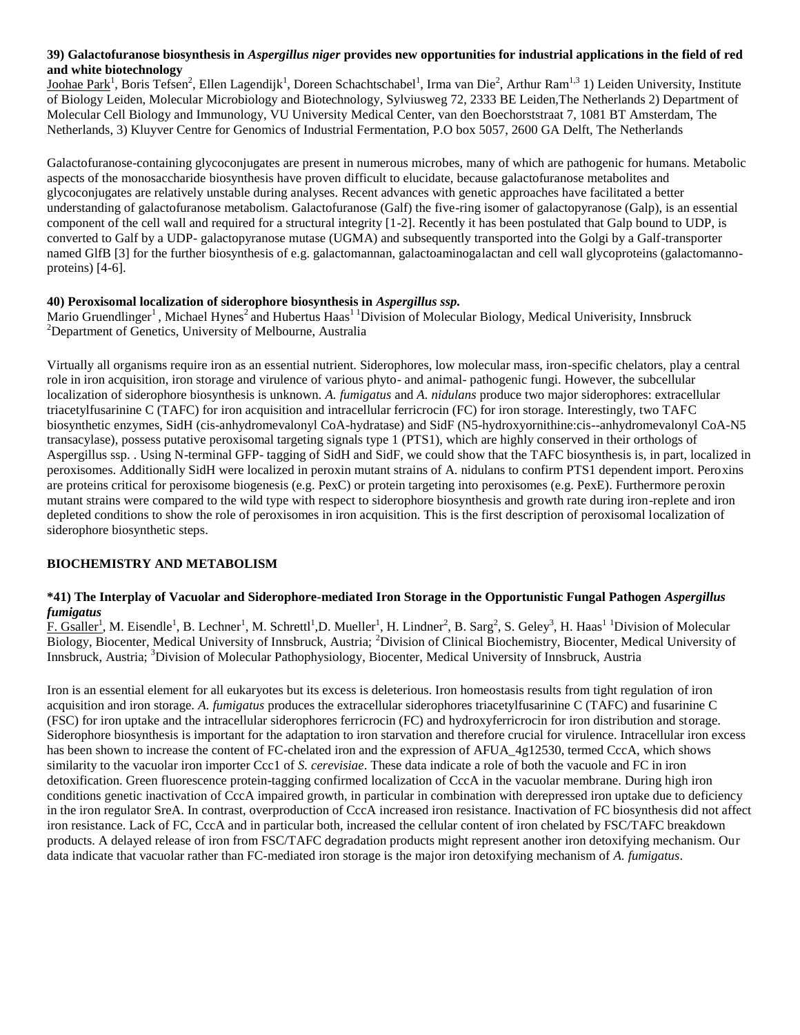## **39) Galactofuranose biosynthesis in** *Aspergillus niger* **provides new opportunities for industrial applications in the field of red and white biotechnology**

Joohae Park<sup>1</sup>, Boris Tefsen<sup>2</sup>, Ellen Lagendijk<sup>1</sup>, Doreen Schachtschabel<sup>1</sup>, Irma van Die<sup>2</sup>, Arthur Ram<sup>1,3</sup> 1) Leiden University, Institute of Biology Leiden, Molecular Microbiology and Biotechnology, Sylviusweg 72, 2333 BE Leiden,The Netherlands 2) Department of Molecular Cell Biology and Immunology, VU University Medical Center, van den Boechorststraat 7, 1081 BT Amsterdam, The Netherlands, 3) Kluyver Centre for Genomics of Industrial Fermentation, P.O box 5057, 2600 GA Delft, The Netherlands

Galactofuranose-containing glycoconjugates are present in numerous microbes, many of which are pathogenic for humans. Metabolic aspects of the monosaccharide biosynthesis have proven difficult to elucidate, because galactofuranose metabolites and glycoconjugates are relatively unstable during analyses. Recent advances with genetic approaches have facilitated a better understanding of galactofuranose metabolism. Galactofuranose (Galf) the five-ring isomer of galactopyranose (Galp), is an essential component of the cell wall and required for a structural integrity [1-2]. Recently it has been postulated that Galp bound to UDP, is converted to Galf by a UDP- galactopyranose mutase (UGMA) and subsequently transported into the Golgi by a Galf-transporter named GlfB [3] for the further biosynthesis of e.g. galactomannan, galactoaminogalactan and cell wall glycoproteins (galactomannoproteins) [4-6].

# **40) Peroxisomal localization of siderophore biosynthesis in** *Aspergillus ssp.*

Mario Gruendlinger<sup>1</sup>, Michael Hynes<sup>2</sup> and Hubertus Haas<sup>11</sup> Division of Molecular Biology, Medical Univerisity, Innsbruck <sup>2</sup>Department of Genetics, University of Melbourne, Australia

Virtually all organisms require iron as an essential nutrient. Siderophores, low molecular mass, iron-specific chelators, play a central role in iron acquisition, iron storage and virulence of various phyto- and animal- pathogenic fungi. However, the subcellular localization of siderophore biosynthesis is unknown. *A. fumigatus* and *A. nidulans* produce two major siderophores: extracellular triacetylfusarinine C (TAFC) for iron acquisition and intracellular ferricrocin (FC) for iron storage. Interestingly, two TAFC biosynthetic enzymes, SidH (cis-anhydromevalonyl CoA-hydratase) and SidF (N5-hydroxyornithine:cis--anhydromevalonyl CoA-N5 transacylase), possess putative peroxisomal targeting signals type 1 (PTS1), which are highly conserved in their orthologs of Aspergillus ssp. . Using N-terminal GFP- tagging of SidH and SidF, we could show that the TAFC biosynthesis is, in part, localized in peroxisomes. Additionally SidH were localized in peroxin mutant strains of A. nidulans to confirm PTS1 dependent import. Peroxins are proteins critical for peroxisome biogenesis (e.g. PexC) or protein targeting into peroxisomes (e.g. PexE). Furthermore peroxin mutant strains were compared to the wild type with respect to siderophore biosynthesis and growth rate during iron-replete and iron depleted conditions to show the role of peroxisomes in iron acquisition. This is the first description of peroxisomal localization of siderophore biosynthetic steps.

## **BIOCHEMISTRY AND METABOLISM**

## **\*41) The Interplay of Vacuolar and Siderophore-mediated Iron Storage in the Opportunistic Fungal Pathogen** *Aspergillus fumigatus*

F. Gsaller<sup>1</sup>, M. Eisendle<sup>1</sup>, B. Lechner<sup>1</sup>, M. Schrettl<sup>1</sup>, D. Mueller<sup>1</sup>, H. Lindner<sup>2</sup>, B. Sarg<sup>2</sup>, S. Geley<sup>3</sup>, H. Haas<sup>1 1</sup> Division of Molecular Biology, Biocenter, Medical University of Innsbruck, Austria; <sup>2</sup>Division of Clinical Biochemistry, Biocenter, Medical University of Innsbruck, Austria; <sup>3</sup>Division of Molecular Pathophysiology, Biocenter, Medical University of Innsbruck, Austria

Iron is an essential element for all eukaryotes but its excess is deleterious. Iron homeostasis results from tight regulation of iron acquisition and iron storage. *A. fumigatus* produces the extracellular siderophores triacetylfusarinine C (TAFC) and fusarinine C (FSC) for iron uptake and the intracellular siderophores ferricrocin (FC) and hydroxyferricrocin for iron distribution and storage. Siderophore biosynthesis is important for the adaptation to iron starvation and therefore crucial for virulence. Intracellular iron excess has been shown to increase the content of FC-chelated iron and the expression of AFUA 4g12530, termed CccA, which shows similarity to the vacuolar iron importer Ccc1 of *S. cerevisiae*. These data indicate a role of both the vacuole and FC in iron detoxification. Green fluorescence protein-tagging confirmed localization of CccA in the vacuolar membrane. During high iron conditions genetic inactivation of CccA impaired growth, in particular in combination with derepressed iron uptake due to deficiency in the iron regulator SreA. In contrast, overproduction of CccA increased iron resistance. Inactivation of FC biosynthesis did not affect iron resistance. Lack of FC, CccA and in particular both, increased the cellular content of iron chelated by FSC/TAFC breakdown products. A delayed release of iron from FSC/TAFC degradation products might represent another iron detoxifying mechanism. Our data indicate that vacuolar rather than FC-mediated iron storage is the major iron detoxifying mechanism of *A. fumigatus*.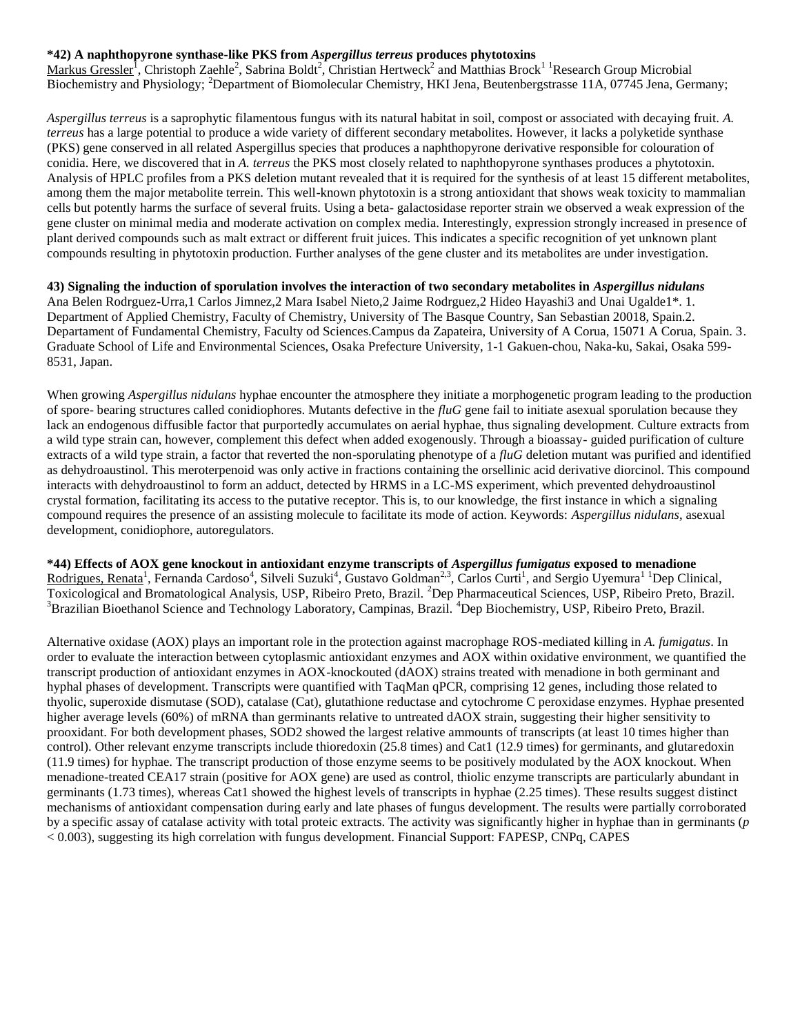## **\*42) A naphthopyrone synthase-like PKS from** *Aspergillus terreus* **produces phytotoxins**

Markus Gressler<sup>1</sup>, Christoph Zaehle<sup>2</sup>, Sabrina Boldt<sup>2</sup>, Christian Hertweck<sup>2</sup> and Matthias Brock<sup>1</sup> Research Group Microbial Biochemistry and Physiology; <sup>2</sup>Department of Biomolecular Chemistry, HKI Jena, Beutenbergstrasse 11A, 07745 Jena, Germany;

*Aspergillus terreus* is a saprophytic filamentous fungus with its natural habitat in soil, compost or associated with decaying fruit. *A. terreus* has a large potential to produce a wide variety of different secondary metabolites. However, it lacks a polyketide synthase (PKS) gene conserved in all related Aspergillus species that produces a naphthopyrone derivative responsible for colouration of conidia. Here, we discovered that in *A. terreus* the PKS most closely related to naphthopyrone synthases produces a phytotoxin. Analysis of HPLC profiles from a PKS deletion mutant revealed that it is required for the synthesis of at least 15 different metabolites, among them the major metabolite terrein. This well-known phytotoxin is a strong antioxidant that shows weak toxicity to mammalian cells but potently harms the surface of several fruits. Using a beta- galactosidase reporter strain we observed a weak expression of the gene cluster on minimal media and moderate activation on complex media. Interestingly, expression strongly increased in presence of plant derived compounds such as malt extract or different fruit juices. This indicates a specific recognition of yet unknown plant compounds resulting in phytotoxin production. Further analyses of the gene cluster and its metabolites are under investigation.

**43) Signaling the induction of sporulation involves the interaction of two secondary metabolites in** *Aspergillus nidulans* Ana Belen Rodrguez-Urra,1 Carlos Jimnez,2 Mara Isabel Nieto,2 Jaime Rodrguez,2 Hideo Hayashi3 and Unai Ugalde1\*. 1. Department of Applied Chemistry, Faculty of Chemistry, University of The Basque Country, San Sebastian 20018, Spain.2. Departament of Fundamental Chemistry, Faculty od Sciences.Campus da Zapateira, University of A Corua, 15071 A Corua, Spain. 3. Graduate School of Life and Environmental Sciences, Osaka Prefecture University, 1-1 Gakuen-chou, Naka-ku, Sakai, Osaka 599- 8531, Japan.

When growing *Aspergillus nidulans* hyphae encounter the atmosphere they initiate a morphogenetic program leading to the production of spore- bearing structures called conidiophores. Mutants defective in the *fluG* gene fail to initiate asexual sporulation because they lack an endogenous diffusible factor that purportedly accumulates on aerial hyphae, thus signaling development. Culture extracts from a wild type strain can, however, complement this defect when added exogenously. Through a bioassay- guided purification of culture extracts of a wild type strain, a factor that reverted the non-sporulating phenotype of a *fluG* deletion mutant was purified and identified as dehydroaustinol. This meroterpenoid was only active in fractions containing the orsellinic acid derivative diorcinol. This compound interacts with dehydroaustinol to form an adduct, detected by HRMS in a LC-MS experiment, which prevented dehydroaustinol crystal formation, facilitating its access to the putative receptor. This is, to our knowledge, the first instance in which a signaling compound requires the presence of an assisting molecule to facilitate its mode of action. Keywords: *Aspergillus nidulans*, asexual development, conidiophore, autoregulators.

**\*44) Effects of AOX gene knockout in antioxidant enzyme transcripts of** *Aspergillus fumigatus* **exposed to menadione**  Rodrigues, Renata<sup>1</sup>, Fernanda Cardoso<sup>4</sup>, Silveli Suzuki<sup>4</sup>, Gustavo Goldman<sup>2,3</sup>, Carlos Curti<sup>1</sup>, and Sergio Uyemura<sup>11</sup> Dep Clinical, Toxicological and Bromatological Analysis, USP, Ribeiro Preto, Brazil. <sup>2</sup>Dep Pharmaceutical Sciences, USP, Ribeiro Preto, Brazil.  ${}^{3}$ Brazilian Bioethanol Science and Technology Laboratory, Campinas, Brazil.  ${}^{4}$ Dep Biochemistry, USP, Ribeiro Preto, Brazil.

Alternative oxidase (AOX) plays an important role in the protection against macrophage ROS-mediated killing in *A. fumigatus*. In order to evaluate the interaction between cytoplasmic antioxidant enzymes and AOX within oxidative environment, we quantified the transcript production of antioxidant enzymes in AOX-knockouted (dAOX) strains treated with menadione in both germinant and hyphal phases of development. Transcripts were quantified with TaqMan qPCR, comprising 12 genes, including those related to thyolic, superoxide dismutase (SOD), catalase (Cat), glutathione reductase and cytochrome C peroxidase enzymes. Hyphae presented higher average levels (60%) of mRNA than germinants relative to untreated dAOX strain, suggesting their higher sensitivity to prooxidant. For both development phases, SOD2 showed the largest relative ammounts of transcripts (at least 10 times higher than control). Other relevant enzyme transcripts include thioredoxin (25.8 times) and Cat1 (12.9 times) for germinants, and glutaredoxin (11.9 times) for hyphae. The transcript production of those enzyme seems to be positively modulated by the AOX knockout. When menadione-treated CEA17 strain (positive for AOX gene) are used as control, thiolic enzyme transcripts are particularly abundant in germinants (1.73 times), whereas Cat1 showed the highest levels of transcripts in hyphae (2.25 times). These results suggest distinct mechanisms of antioxidant compensation during early and late phases of fungus development. The results were partially corroborated by a specific assay of catalase activity with total proteic extracts. The activity was significantly higher in hyphae than in germinants (*p* < 0.003), suggesting its high correlation with fungus development. Financial Support: FAPESP, CNPq, CAPES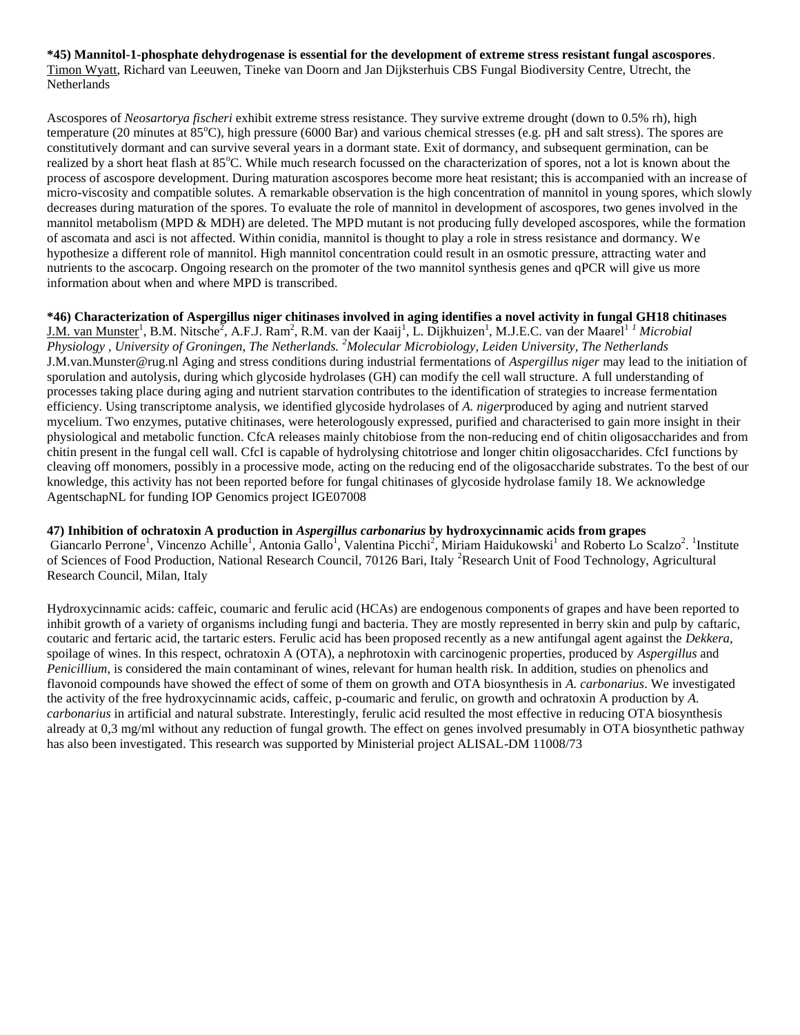**\*45) Mannitol-1-phosphate dehydrogenase is essential for the development of extreme stress resistant fungal ascospores**. Timon Wyatt, Richard van Leeuwen, Tineke van Doorn and Jan Dijksterhuis CBS Fungal Biodiversity Centre, Utrecht, the Netherlands

Ascospores of *Neosartorya fischeri* exhibit extreme stress resistance. They survive extreme drought (down to 0.5% rh), high temperature (20 minutes at  $85^{\circ}$ C), high pressure (6000 Bar) and various chemical stresses (e.g. pH and salt stress). The spores are constitutively dormant and can survive several years in a dormant state. Exit of dormancy, and subsequent germination, can be realized by a short heat flash at 85°C. While much research focussed on the characterization of spores, not a lot is known about the process of ascospore development. During maturation ascospores become more heat resistant; this is accompanied with an increase of micro-viscosity and compatible solutes. A remarkable observation is the high concentration of mannitol in young spores, which slowly decreases during maturation of the spores. To evaluate the role of mannitol in development of ascospores, two genes involved in the mannitol metabolism (MPD & MDH) are deleted. The MPD mutant is not producing fully developed ascospores, while the formation of ascomata and asci is not affected. Within conidia, mannitol is thought to play a role in stress resistance and dormancy. We hypothesize a different role of mannitol. High mannitol concentration could result in an osmotic pressure, attracting water and nutrients to the ascocarp. Ongoing research on the promoter of the two mannitol synthesis genes and qPCR will give us more information about when and where MPD is transcribed.

**\*46) Characterization of Aspergillus niger chitinases involved in aging identifies a novel activity in fungal GH18 chitinases**  J.M. van Munster<sup>1</sup>, B.M. Nitsche<sup>2</sup>, A.F.J. Ram<sup>2</sup>, R.M. van der Kaaij<sup>1</sup>, L. Dijkhuizen<sup>1</sup>, M.J.E.C. van der Maarel<sup>1 *1 Microbial*</sup> *Physiology , University of Groningen, The Netherlands. <sup>2</sup>Molecular Microbiology, Leiden University, The Netherlands* J.M.van.Munster@rug.nl Aging and stress conditions during industrial fermentations of *Aspergillus niger* may lead to the initiation of sporulation and autolysis, during which glycoside hydrolases (GH) can modify the cell wall structure. A full understanding of processes taking place during aging and nutrient starvation contributes to the identification of strategies to increase fermentation efficiency. Using transcriptome analysis, we identified glycoside hydrolases of *A. niger*produced by aging and nutrient starved mycelium. Two enzymes, putative chitinases, were heterologously expressed, purified and characterised to gain more insight in their physiological and metabolic function. CfcA releases mainly chitobiose from the non-reducing end of chitin oligosaccharides and from chitin present in the fungal cell wall. CfcI is capable of hydrolysing chitotriose and longer chitin oligosaccharides. CfcI functions by cleaving off monomers, possibly in a processive mode, acting on the reducing end of the oligosaccharide substrates. To the best of our knowledge, this activity has not been reported before for fungal chitinases of glycoside hydrolase family 18. We acknowledge AgentschapNL for funding IOP Genomics project IGE07008

# **47) Inhibition of ochratoxin A production in** *Aspergillus carbonarius* **by hydroxycinnamic acids from grapes** Giancarlo Perrone<sup>1</sup>, Vincenzo Achille<sup>1</sup>, Antonia Gallo<sup>1</sup>, Valentina Picchi<sup>2</sup>, Miriam Haidukowski<sup>1</sup> and Roberto Lo Scalzo<sup>2</sup>. <sup>1</sup>Institute

of Sciences of Food Production, National Research Council, 70126 Bari, Italy <sup>2</sup>Research Unit of Food Technology, Agricultural Research Council, Milan, Italy

Hydroxycinnamic acids: caffeic, coumaric and ferulic acid (HCAs) are endogenous components of grapes and have been reported to inhibit growth of a variety of organisms including fungi and bacteria. They are mostly represented in berry skin and pulp by caftaric, coutaric and fertaric acid, the tartaric esters. Ferulic acid has been proposed recently as a new antifungal agent against the *Dekkera*, spoilage of wines. In this respect, ochratoxin A (OTA), a nephrotoxin with carcinogenic properties, produced by *Aspergillus* and *Penicillium*, is considered the main contaminant of wines, relevant for human health risk. In addition, studies on phenolics and flavonoid compounds have showed the effect of some of them on growth and OTA biosynthesis in *A. carbonarius*. We investigated the activity of the free hydroxycinnamic acids, caffeic, p-coumaric and ferulic, on growth and ochratoxin A production by *A. carbonarius* in artificial and natural substrate. Interestingly, ferulic acid resulted the most effective in reducing OTA biosynthesis already at 0,3 mg/ml without any reduction of fungal growth. The effect on genes involved presumably in OTA biosynthetic pathway has also been investigated. This research was supported by Ministerial project ALISAL-DM 11008/73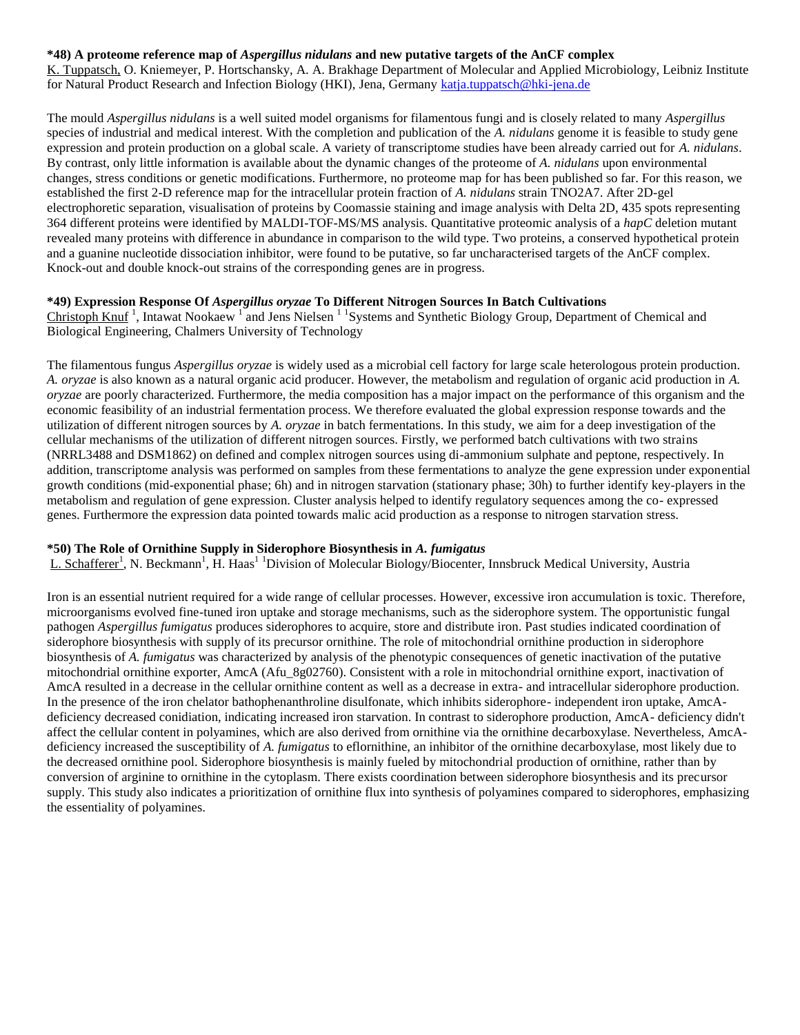#### **\*48) A proteome reference map of** *Aspergillus nidulans* **and new putative targets of the AnCF complex**

K. Tuppatsch, O. Kniemeyer, P. Hortschansky, A. A. Brakhage Department of Molecular and Applied Microbiology, Leibniz Institute for Natural Product Research and Infection Biology (HKI), Jena, Germany [katja.tuppatsch@hki-jena.de](mailto:katja.tuppatsch@hki-jena.de)

The mould *Aspergillus nidulans* is a well suited model organisms for filamentous fungi and is closely related to many *Aspergillus* species of industrial and medical interest. With the completion and publication of the *A. nidulans* genome it is feasible to study gene expression and protein production on a global scale. A variety of transcriptome studies have been already carried out for *A. nidulans*. By contrast, only little information is available about the dynamic changes of the proteome of *A. nidulans* upon environmental changes, stress conditions or genetic modifications. Furthermore, no proteome map for has been published so far. For this reason, we established the first 2-D reference map for the intracellular protein fraction of *A. nidulans* strain TNO2A7. After 2D-gel electrophoretic separation, visualisation of proteins by Coomassie staining and image analysis with Delta 2D, 435 spots representing 364 different proteins were identified by MALDI-TOF-MS/MS analysis. Quantitative proteomic analysis of a *hapC* deletion mutant revealed many proteins with difference in abundance in comparison to the wild type. Two proteins, a conserved hypothetical protein and a guanine nucleotide dissociation inhibitor, were found to be putative, so far uncharacterised targets of the AnCF complex. Knock-out and double knock-out strains of the corresponding genes are in progress.

# **\*49) Expression Response Of** *Aspergillus oryzae* **To Different Nitrogen Sources In Batch Cultivations**

Christoph Knuf<sup>1</sup>, Intawat Nookaew<sup>1</sup> and Jens Nielsen<sup>11</sup> Systems and Synthetic Biology Group, Department of Chemical and Biological Engineering, Chalmers University of Technology

The filamentous fungus *Aspergillus oryzae* is widely used as a microbial cell factory for large scale heterologous protein production. *A. oryzae* is also known as a natural organic acid producer. However, the metabolism and regulation of organic acid production in *A. oryzae* are poorly characterized. Furthermore, the media composition has a major impact on the performance of this organism and the economic feasibility of an industrial fermentation process. We therefore evaluated the global expression response towards and the utilization of different nitrogen sources by *A. oryzae* in batch fermentations. In this study, we aim for a deep investigation of the cellular mechanisms of the utilization of different nitrogen sources. Firstly, we performed batch cultivations with two strains (NRRL3488 and DSM1862) on defined and complex nitrogen sources using di-ammonium sulphate and peptone, respectively. In addition, transcriptome analysis was performed on samples from these fermentations to analyze the gene expression under exponential growth conditions (mid-exponential phase; 6h) and in nitrogen starvation (stationary phase; 30h) to further identify key-players in the metabolism and regulation of gene expression. Cluster analysis helped to identify regulatory sequences among the co- expressed genes. Furthermore the expression data pointed towards malic acid production as a response to nitrogen starvation stress.

#### **\*50) The Role of Ornithine Supply in Siderophore Biosynthesis in** *A. fumigatus*

L. Schafferer<sup>1</sup>, N. Beckmann<sup>1</sup>, H. Haas<sup>11</sup> Division of Molecular Biology/Biocenter, Innsbruck Medical University, Austria

Iron is an essential nutrient required for a wide range of cellular processes. However, excessive iron accumulation is toxic. Therefore, microorganisms evolved fine-tuned iron uptake and storage mechanisms, such as the siderophore system. The opportunistic fungal pathogen *Aspergillus fumigatus* produces siderophores to acquire, store and distribute iron. Past studies indicated coordination of siderophore biosynthesis with supply of its precursor ornithine. The role of mitochondrial ornithine production in siderophore biosynthesis of *A. fumigatus* was characterized by analysis of the phenotypic consequences of genetic inactivation of the putative mitochondrial ornithine exporter, AmcA (Afu\_8g02760). Consistent with a role in mitochondrial ornithine export, inactivation of AmcA resulted in a decrease in the cellular ornithine content as well as a decrease in extra- and intracellular siderophore production. In the presence of the iron chelator bathophenanthroline disulfonate, which inhibits siderophore- independent iron uptake, AmcAdeficiency decreased conidiation, indicating increased iron starvation. In contrast to siderophore production, AmcA- deficiency didn't affect the cellular content in polyamines, which are also derived from ornithine via the ornithine decarboxylase. Nevertheless, AmcAdeficiency increased the susceptibility of *A. fumigatus* to eflornithine, an inhibitor of the ornithine decarboxylase, most likely due to the decreased ornithine pool. Siderophore biosynthesis is mainly fueled by mitochondrial production of ornithine, rather than by conversion of arginine to ornithine in the cytoplasm. There exists coordination between siderophore biosynthesis and its precursor supply. This study also indicates a prioritization of ornithine flux into synthesis of polyamines compared to siderophores, emphasizing the essentiality of polyamines.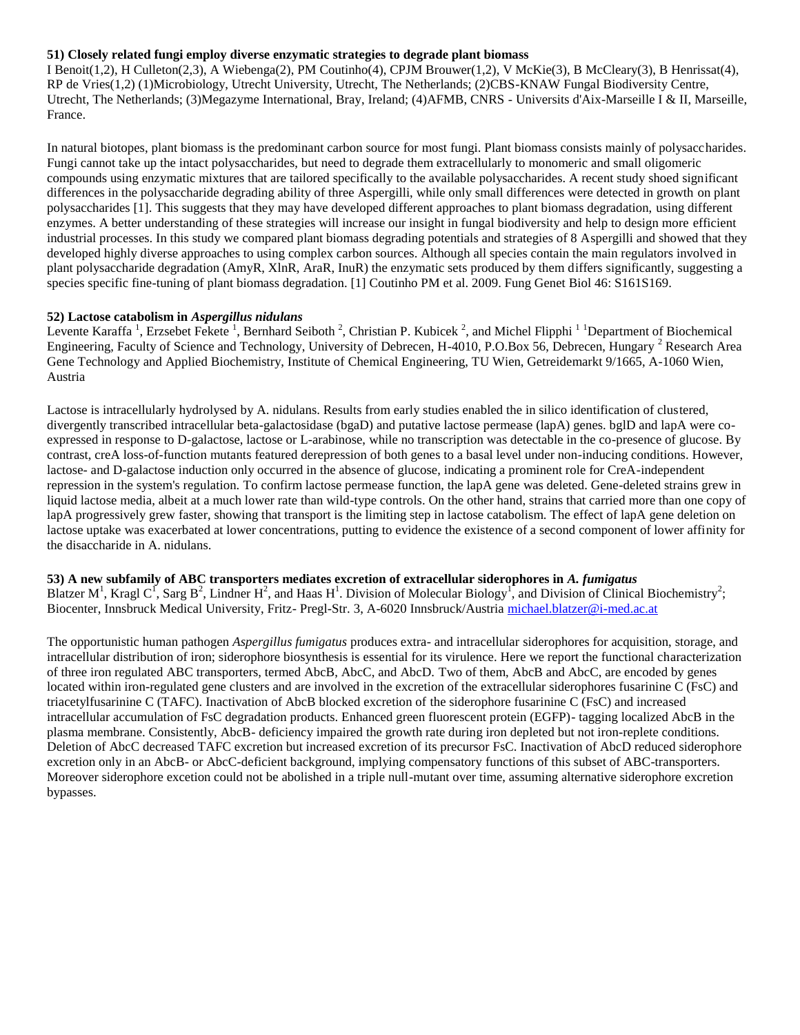#### **51) Closely related fungi employ diverse enzymatic strategies to degrade plant biomass**

I Benoit(1,2), H Culleton(2,3), A Wiebenga(2), PM Coutinho(4), CPJM Brouwer(1,2), V McKie(3), B McCleary(3), B Henrissat(4), RP de Vries(1,2) (1)Microbiology, Utrecht University, Utrecht, The Netherlands; (2)CBS-KNAW Fungal Biodiversity Centre, Utrecht, The Netherlands; (3)Megazyme International, Bray, Ireland; (4)AFMB, CNRS - Universits d'Aix-Marseille I & II, Marseille, France.

In natural biotopes, plant biomass is the predominant carbon source for most fungi. Plant biomass consists mainly of polysaccharides. Fungi cannot take up the intact polysaccharides, but need to degrade them extracellularly to monomeric and small oligomeric compounds using enzymatic mixtures that are tailored specifically to the available polysaccharides. A recent study shoed significant differences in the polysaccharide degrading ability of three Aspergilli, while only small differences were detected in growth on plant polysaccharides [1]. This suggests that they may have developed different approaches to plant biomass degradation, using different enzymes. A better understanding of these strategies will increase our insight in fungal biodiversity and help to design more efficient industrial processes. In this study we compared plant biomass degrading potentials and strategies of 8 Aspergilli and showed that they developed highly diverse approaches to using complex carbon sources. Although all species contain the main regulators involved in plant polysaccharide degradation (AmyR, XlnR, AraR, InuR) the enzymatic sets produced by them differs significantly, suggesting a species specific fine-tuning of plant biomass degradation. [1] Coutinho PM et al. 2009. Fung Genet Biol 46: S161S169.

#### **52) Lactose catabolism in** *Aspergillus nidulans*

Levente Karaffa<sup>1</sup>, Erzsebet Fekete<sup>1</sup>, Bernhard Seiboth<sup>2</sup>, Christian P. Kubicek<sup>2</sup>, and Michel Flipphi<sup>11</sup> Department of Biochemical Engineering, Faculty of Science and Technology, University of Debrecen, H-4010, P.O.Box 56, Debrecen, Hungary <sup>2</sup> Research Area Gene Technology and Applied Biochemistry, Institute of Chemical Engineering, TU Wien, Getreidemarkt 9/1665, A-1060 Wien, Austria

Lactose is intracellularly hydrolysed by A. nidulans. Results from early studies enabled the in silico identification of clustered, divergently transcribed intracellular beta-galactosidase (bgaD) and putative lactose permease (lapA) genes. bglD and lapA were coexpressed in response to D-galactose, lactose or L-arabinose, while no transcription was detectable in the co-presence of glucose. By contrast, creA loss-of-function mutants featured derepression of both genes to a basal level under non-inducing conditions. However, lactose- and D-galactose induction only occurred in the absence of glucose, indicating a prominent role for CreA-independent repression in the system's regulation. To confirm lactose permease function, the lapA gene was deleted. Gene-deleted strains grew in liquid lactose media, albeit at a much lower rate than wild-type controls. On the other hand, strains that carried more than one copy of lapA progressively grew faster, showing that transport is the limiting step in lactose catabolism. The effect of lapA gene deletion on lactose uptake was exacerbated at lower concentrations, putting to evidence the existence of a second component of lower affinity for the disaccharide in A. nidulans.

#### **53) A new subfamily of ABC transporters mediates excretion of extracellular siderophores in** *A. fumigatus*

Blatzer M<sup>1</sup>, Kragl C<sup>1</sup>, Sarg B<sup>2</sup>, Lindner H<sup>2</sup>, and Haas H<sup>1</sup>. Division of Molecular Biology<sup>1</sup>, and Division of Clinical Biochemistry<sup>2</sup>; Biocenter, Innsbruck Medical University, Fritz- Pregl-Str. 3, A-6020 Innsbruck/Austria [michael.blatzer@i-med.ac.at](mailto:michael.blatzer@i-med.ac.at)

The opportunistic human pathogen *Aspergillus fumigatus* produces extra- and intracellular siderophores for acquisition, storage, and intracellular distribution of iron; siderophore biosynthesis is essential for its virulence. Here we report the functional characterization of three iron regulated ABC transporters, termed AbcB, AbcC, and AbcD. Two of them, AbcB and AbcC, are encoded by genes located within iron-regulated gene clusters and are involved in the excretion of the extracellular siderophores fusarinine C (FsC) and triacetylfusarinine C (TAFC). Inactivation of AbcB blocked excretion of the siderophore fusarinine C (FsC) and increased intracellular accumulation of FsC degradation products. Enhanced green fluorescent protein (EGFP)- tagging localized AbcB in the plasma membrane. Consistently, AbcB- deficiency impaired the growth rate during iron depleted but not iron-replete conditions. Deletion of AbcC decreased TAFC excretion but increased excretion of its precursor FsC. Inactivation of AbcD reduced siderophore excretion only in an AbcB- or AbcC-deficient background, implying compensatory functions of this subset of ABC-transporters. Moreover siderophore excetion could not be abolished in a triple null-mutant over time, assuming alternative siderophore excretion bypasses.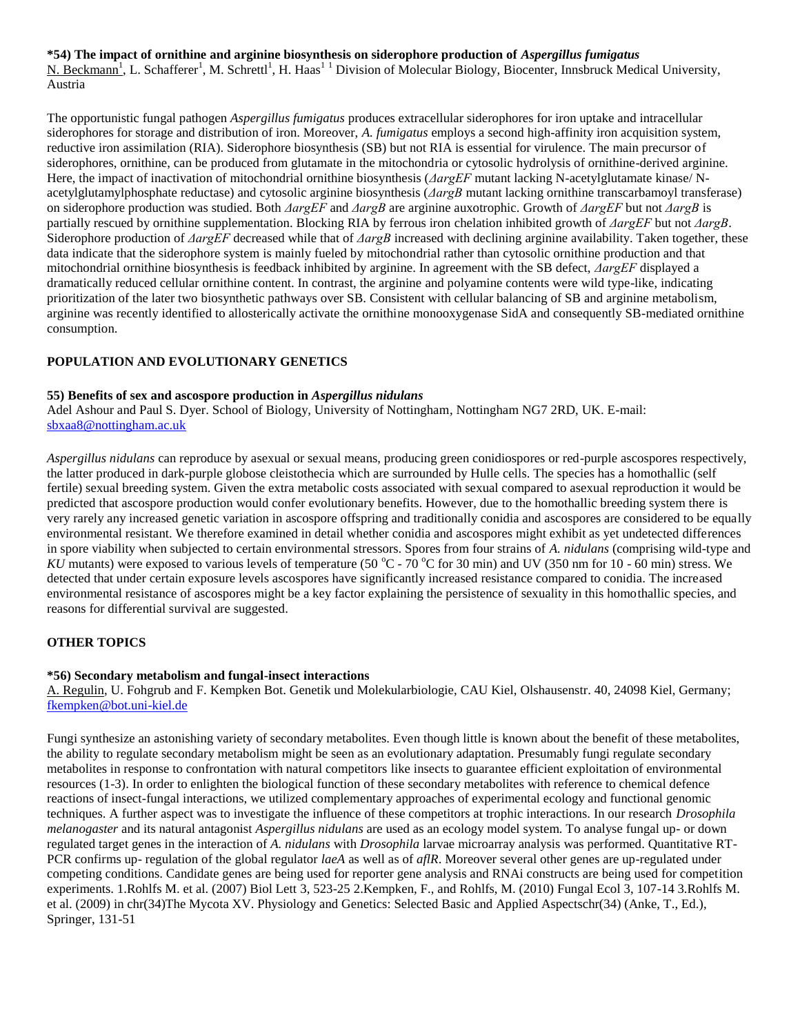**\*54) The impact of ornithine and arginine biosynthesis on siderophore production of** *Aspergillus fumigatus* N. Beckmann<sup>1</sup>, L. Schafferer<sup>1</sup>, M. Schrettl<sup>1</sup>, H. Haas<sup>11</sup> Division of Molecular Biology, Biocenter, Innsbruck Medical University, Austria

The opportunistic fungal pathogen *Aspergillus fumigatus* produces extracellular siderophores for iron uptake and intracellular siderophores for storage and distribution of iron. Moreover, *A. fumigatus* employs a second high-affinity iron acquisition system, reductive iron assimilation (RIA). Siderophore biosynthesis (SB) but not RIA is essential for virulence. The main precursor of siderophores, ornithine, can be produced from glutamate in the mitochondria or cytosolic hydrolysis of ornithine-derived arginine. Here, the impact of inactivation of mitochondrial ornithine biosynthesis (*ΔargEF* mutant lacking N-acetylglutamate kinase/ Nacetylglutamylphosphate reductase) and cytosolic arginine biosynthesis (*ΔargB* mutant lacking ornithine transcarbamoyl transferase) on siderophore production was studied. Both *ΔargEF* and *ΔargB* are arginine auxotrophic. Growth of *ΔargEF* but not *ΔargB* is partially rescued by ornithine supplementation. Blocking RIA by ferrous iron chelation inhibited growth of *ΔargEF* but not *ΔargB*. Siderophore production of *ΔargEF* decreased while that of *ΔargB* increased with declining arginine availability. Taken together, these data indicate that the siderophore system is mainly fueled by mitochondrial rather than cytosolic ornithine production and that mitochondrial ornithine biosynthesis is feedback inhibited by arginine. In agreement with the SB defect, *ΔargEF* displayed a dramatically reduced cellular ornithine content. In contrast, the arginine and polyamine contents were wild type-like, indicating prioritization of the later two biosynthetic pathways over SB. Consistent with cellular balancing of SB and arginine metabolism, arginine was recently identified to allosterically activate the ornithine monooxygenase SidA and consequently SB-mediated ornithine consumption.

## **POPULATION AND EVOLUTIONARY GENETICS**

#### **55) Benefits of sex and ascospore production in** *Aspergillus nidulans*

Adel Ashour and Paul S. Dyer. School of Biology, University of Nottingham, Nottingham NG7 2RD, UK. E-mail: [sbxaa8@nottingham.ac.uk](mailto:sbxaa8@nottingham.ac.uk)

*Aspergillus nidulans* can reproduce by asexual or sexual means, producing green conidiospores or red-purple ascospores respectively, the latter produced in dark-purple globose cleistothecia which are surrounded by Hulle cells. The species has a homothallic (self fertile) sexual breeding system. Given the extra metabolic costs associated with sexual compared to asexual reproduction it would be predicted that ascospore production would confer evolutionary benefits. However, due to the homothallic breeding system there is very rarely any increased genetic variation in ascospore offspring and traditionally conidia and ascospores are considered to be equally environmental resistant. We therefore examined in detail whether conidia and ascospores might exhibit as yet undetected differences in spore viability when subjected to certain environmental stressors. Spores from four strains of *A. nidulans* (comprising wild-type and *KU* mutants) were exposed to various levels of temperature (50  $^{\circ}$ C - 70  $^{\circ}$ C for 30 min) and UV (350 nm for 10 - 60 min) stress. We detected that under certain exposure levels ascospores have significantly increased resistance compared to conidia. The increased environmental resistance of ascospores might be a key factor explaining the persistence of sexuality in this homothallic species, and reasons for differential survival are suggested.

## **OTHER TOPICS**

## **\*56) Secondary metabolism and fungal-insect interactions**

A. Regulin, U. Fohgrub and F. Kempken Bot. Genetik und Molekularbiologie, CAU Kiel, Olshausenstr. 40, 24098 Kiel, Germany; [fkempken@bot.uni-kiel.de](mailto:fkempken@bot.uni-kiel.de)

Fungi synthesize an astonishing variety of secondary metabolites. Even though little is known about the benefit of these metabolites, the ability to regulate secondary metabolism might be seen as an evolutionary adaptation. Presumably fungi regulate secondary metabolites in response to confrontation with natural competitors like insects to guarantee efficient exploitation of environmental resources (1-3). In order to enlighten the biological function of these secondary metabolites with reference to chemical defence reactions of insect-fungal interactions, we utilized complementary approaches of experimental ecology and functional genomic techniques. A further aspect was to investigate the influence of these competitors at trophic interactions. In our research *Drosophila melanogaster* and its natural antagonist *Aspergillus nidulans* are used as an ecology model system. To analyse fungal up- or down regulated target genes in the interaction of *A. nidulans* with *Drosophila* larvae microarray analysis was performed. Quantitative RT-PCR confirms up- regulation of the global regulator *laeA* as well as of *aflR*. Moreover several other genes are up-regulated under competing conditions. Candidate genes are being used for reporter gene analysis and RNAi constructs are being used for competition experiments. 1.Rohlfs M. et al. (2007) Biol Lett 3, 523-25 2.Kempken, F., and Rohlfs, M. (2010) Fungal Ecol 3, 107-14 3.Rohlfs M. et al. (2009) in chr(34)The Mycota XV. Physiology and Genetics: Selected Basic and Applied Aspectschr(34) (Anke, T., Ed.), Springer, 131-51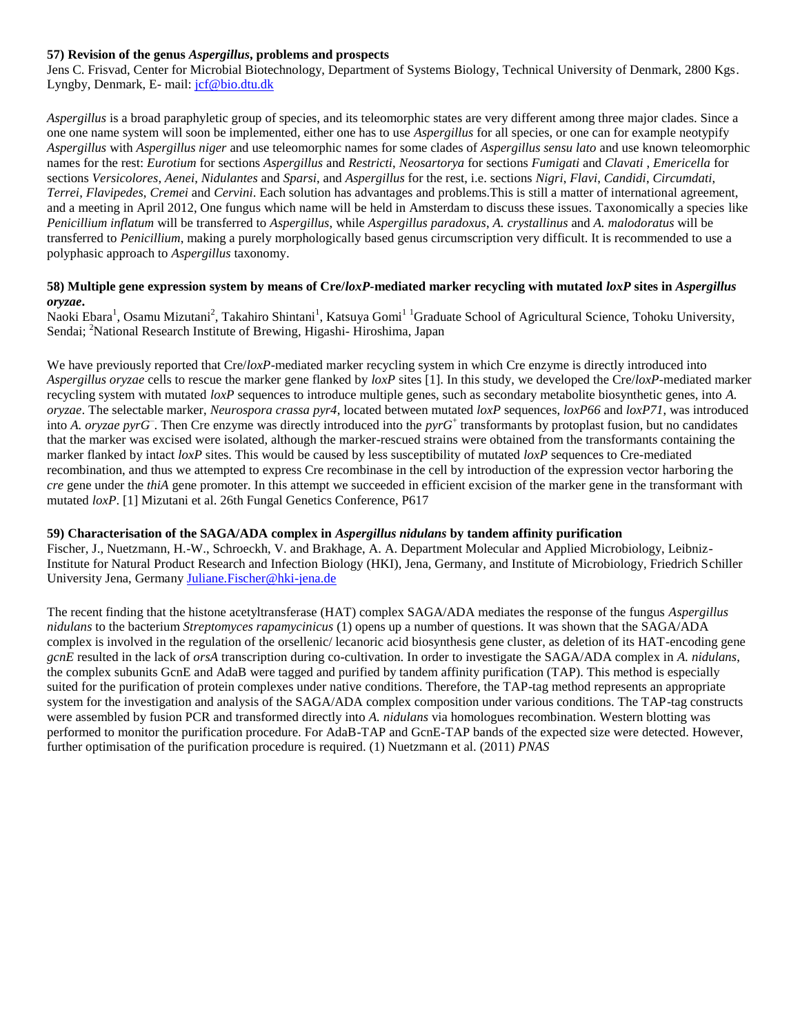## **57) Revision of the genus** *Aspergillus***, problems and prospects**

Jens C. Frisvad, Center for Microbial Biotechnology, Department of Systems Biology, Technical University of Denmark, 2800 Kgs. Lyngby, Denmark, E- mail: [jcf@bio.dtu.dk](mailto:jcf@bio.dtu.dk)

*Aspergillus* is a broad paraphyletic group of species, and its teleomorphic states are very different among three major clades. Since a one one name system will soon be implemented, either one has to use *Aspergillus* for all species, or one can for example neotypify *Aspergillus* with *Aspergillus niger* and use teleomorphic names for some clades of *Aspergillus sensu lato* and use known teleomorphic names for the rest: *Eurotium* for sections *Aspergillus* and *Restricti*, *Neosartorya* for sections *Fumigati* and *Clavati* , *Emericella* for sections *Versicolores*, *Aenei*, *Nidulantes* and *Sparsi*, and *Aspergillus* for the rest, i.e. sections *Nigri*, *Flavi*, *Candidi*, *Circumdati*, *Terrei*, *Flavipedes*, *Cremei* and *Cervini*. Each solution has advantages and problems.This is still a matter of international agreement, and a meeting in April 2012, One fungus which name will be held in Amsterdam to discuss these issues. Taxonomically a species like *Penicillium inflatum* will be transferred to *Aspergillus*, while *Aspergillus paradoxus*, *A. crystallinus* and *A. malodoratus* will be transferred to *Penicillium*, making a purely morphologically based genus circumscription very difficult. It is recommended to use a polyphasic approach to *Aspergillus* taxonomy.

#### **58) Multiple gene expression system by means of Cre/***loxP***-mediated marker recycling with mutated** *loxP* **sites in** *Aspergillus oryzae***.**

Naoki Ebara<sup>1</sup>, Osamu Mizutani<sup>2</sup>, Takahiro Shintani<sup>1</sup>, Katsuya Gomi<sup>11</sup> Graduate School of Agricultural Science, Tohoku University, Sendai; <sup>2</sup>National Research Institute of Brewing, Higashi- Hiroshima, Japan

We have previously reported that Cre/*loxP*-mediated marker recycling system in which Cre enzyme is directly introduced into *Aspergillus oryzae* cells to rescue the marker gene flanked by *loxP* sites [1]. In this study, we developed the Cre/*loxP*-mediated marker recycling system with mutated *loxP* sequences to introduce multiple genes, such as secondary metabolite biosynthetic genes, into *A*. *oryzae*. The selectable marker, *Neurospora crassa pyr4*, located between mutated *loxP* sequences, *loxP66* and *loxP71*, was introduced into *A. oryzae pyrG*– . Then Cre enzyme was directly introduced into the *pyrG*<sup>+</sup> transformants by protoplast fusion, but no candidates that the marker was excised were isolated, although the marker-rescued strains were obtained from the transformants containing the marker flanked by intact *loxP* sites. This would be caused by less susceptibility of mutated *loxP* sequences to Cre-mediated recombination, and thus we attempted to express Cre recombinase in the cell by introduction of the expression vector harboring the *cre* gene under the *thiA* gene promoter. In this attempt we succeeded in efficient excision of the marker gene in the transformant with mutated *loxP*. [1] Mizutani et al. 26th Fungal Genetics Conference, P617

## **59) Characterisation of the SAGA/ADA complex in** *Aspergillus nidulans* **by tandem affinity purification**

Fischer, J., Nuetzmann, H.-W., Schroeckh, V. and Brakhage, A. A. Department Molecular and Applied Microbiology, Leibniz-Institute for Natural Product Research and Infection Biology (HKI), Jena, Germany, and Institute of Microbiology, Friedrich Schiller University Jena, Germany [Juliane.Fischer@hki-jena.de](mailto:Juliane.Fischer@hki-jena.de)

The recent finding that the histone acetyltransferase (HAT) complex SAGA/ADA mediates the response of the fungus *Aspergillus nidulans* to the bacterium *Streptomyces rapamycinicus* (1) opens up a number of questions. It was shown that the SAGA/ADA complex is involved in the regulation of the orsellenic/ lecanoric acid biosynthesis gene cluster, as deletion of its HAT-encoding gene *gcnE* resulted in the lack of *orsA* transcription during co-cultivation. In order to investigate the SAGA/ADA complex in *A. nidulans*, the complex subunits GcnE and AdaB were tagged and purified by tandem affinity purification (TAP). This method is especially suited for the purification of protein complexes under native conditions. Therefore, the TAP-tag method represents an appropriate system for the investigation and analysis of the SAGA/ADA complex composition under various conditions. The TAP-tag constructs were assembled by fusion PCR and transformed directly into *A. nidulans* via homologues recombination. Western blotting was performed to monitor the purification procedure. For AdaB-TAP and GcnE-TAP bands of the expected size were detected. However, further optimisation of the purification procedure is required. (1) Nuetzmann et al. (2011) *PNAS*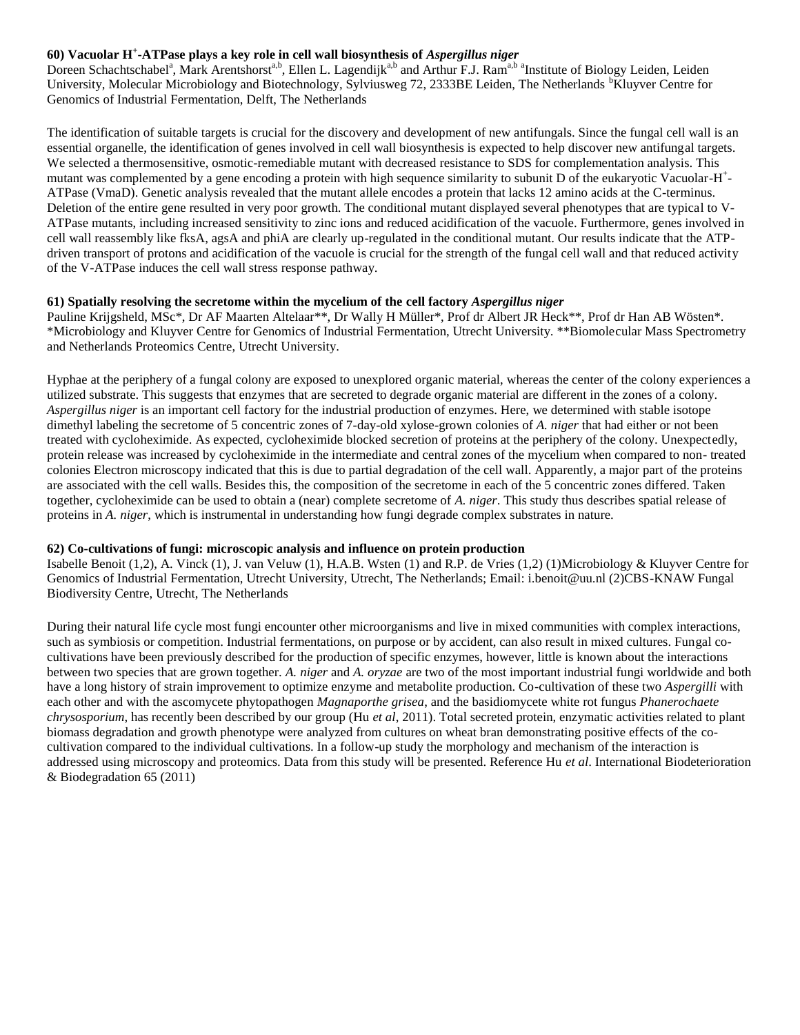# **60) Vacuolar H<sup>+</sup> -ATPase plays a key role in cell wall biosynthesis of** *Aspergillus niger*

Doreen Schachtschabel<sup>a</sup>, Mark Arentshorst<sup>a,b</sup>, Ellen L. Lagendijk<sup>a,b</sup> and Arthur F.J. Ram<sup>a,b a</sup>Institute of Biology Leiden, Leiden University, Molecular Microbiology and Biotechnology, Sylviusweg 72, 2333BE Leiden, The Netherlands <sup>b</sup>Kluyver Centre for Genomics of Industrial Fermentation, Delft, The Netherlands

The identification of suitable targets is crucial for the discovery and development of new antifungals. Since the fungal cell wall is an essential organelle, the identification of genes involved in cell wall biosynthesis is expected to help discover new antifungal targets. We selected a thermosensitive, osmotic-remediable mutant with decreased resistance to SDS for complementation analysis. This mutant was complemented by a gene encoding a protein with high sequence similarity to subunit D of the eukaryotic Vacuolar-H<sup>+</sup>-ATPase (VmaD). Genetic analysis revealed that the mutant allele encodes a protein that lacks 12 amino acids at the C-terminus. Deletion of the entire gene resulted in very poor growth. The conditional mutant displayed several phenotypes that are typical to V-ATPase mutants, including increased sensitivity to zinc ions and reduced acidification of the vacuole. Furthermore, genes involved in cell wall reassembly like fksA, agsA and phiA are clearly up-regulated in the conditional mutant. Our results indicate that the ATPdriven transport of protons and acidification of the vacuole is crucial for the strength of the fungal cell wall and that reduced activity of the V-ATPase induces the cell wall stress response pathway.

#### **61) Spatially resolving the secretome within the mycelium of the cell factory** *Aspergillus niger*

Pauline Krijgsheld, MSc\*, Dr AF Maarten Altelaar\*\*, Dr Wally H Müller\*, Prof dr Albert JR Heck\*\*, Prof dr Han AB Wösten\*. \*Microbiology and Kluyver Centre for Genomics of Industrial Fermentation, Utrecht University. \*\*Biomolecular Mass Spectrometry and Netherlands Proteomics Centre, Utrecht University.

Hyphae at the periphery of a fungal colony are exposed to unexplored organic material, whereas the center of the colony experiences a utilized substrate. This suggests that enzymes that are secreted to degrade organic material are different in the zones of a colony. *Aspergillus niger* is an important cell factory for the industrial production of enzymes. Here, we determined with stable isotope dimethyl labeling the secretome of 5 concentric zones of 7-day-old xylose-grown colonies of *A. niger* that had either or not been treated with cycloheximide. As expected, cycloheximide blocked secretion of proteins at the periphery of the colony. Unexpectedly, protein release was increased by cycloheximide in the intermediate and central zones of the mycelium when compared to non- treated colonies Electron microscopy indicated that this is due to partial degradation of the cell wall. Apparently, a major part of the proteins are associated with the cell walls. Besides this, the composition of the secretome in each of the 5 concentric zones differed. Taken together, cycloheximide can be used to obtain a (near) complete secretome of *A. niger*. This study thus describes spatial release of proteins in *A. niger*, which is instrumental in understanding how fungi degrade complex substrates in nature.

## **62) Co-cultivations of fungi: microscopic analysis and influence on protein production**

Isabelle Benoit (1,2), A. Vinck (1), J. van Veluw (1), H.A.B. Wsten (1) and R.P. de Vries (1,2) (1)Microbiology & Kluyver Centre for Genomics of Industrial Fermentation, Utrecht University, Utrecht, The Netherlands; Email: i.benoit@uu.nl (2)CBS-KNAW Fungal Biodiversity Centre, Utrecht, The Netherlands

During their natural life cycle most fungi encounter other microorganisms and live in mixed communities with complex interactions, such as symbiosis or competition. Industrial fermentations, on purpose or by accident, can also result in mixed cultures. Fungal cocultivations have been previously described for the production of specific enzymes, however, little is known about the interactions between two species that are grown together. *A. niger* and *A. oryzae* are two of the most important industrial fungi worldwide and both have a long history of strain improvement to optimize enzyme and metabolite production. Co-cultivation of these two *Aspergilli* with each other and with the ascomycete phytopathogen *Magnaporthe grisea*, and the basidiomycete white rot fungus *Phanerochaete chrysosporium*, has recently been described by our group (Hu *et al*, 2011). Total secreted protein, enzymatic activities related to plant biomass degradation and growth phenotype were analyzed from cultures on wheat bran demonstrating positive effects of the cocultivation compared to the individual cultivations. In a follow-up study the morphology and mechanism of the interaction is addressed using microscopy and proteomics. Data from this study will be presented. Reference Hu *et al*. International Biodeterioration & Biodegradation 65 (2011)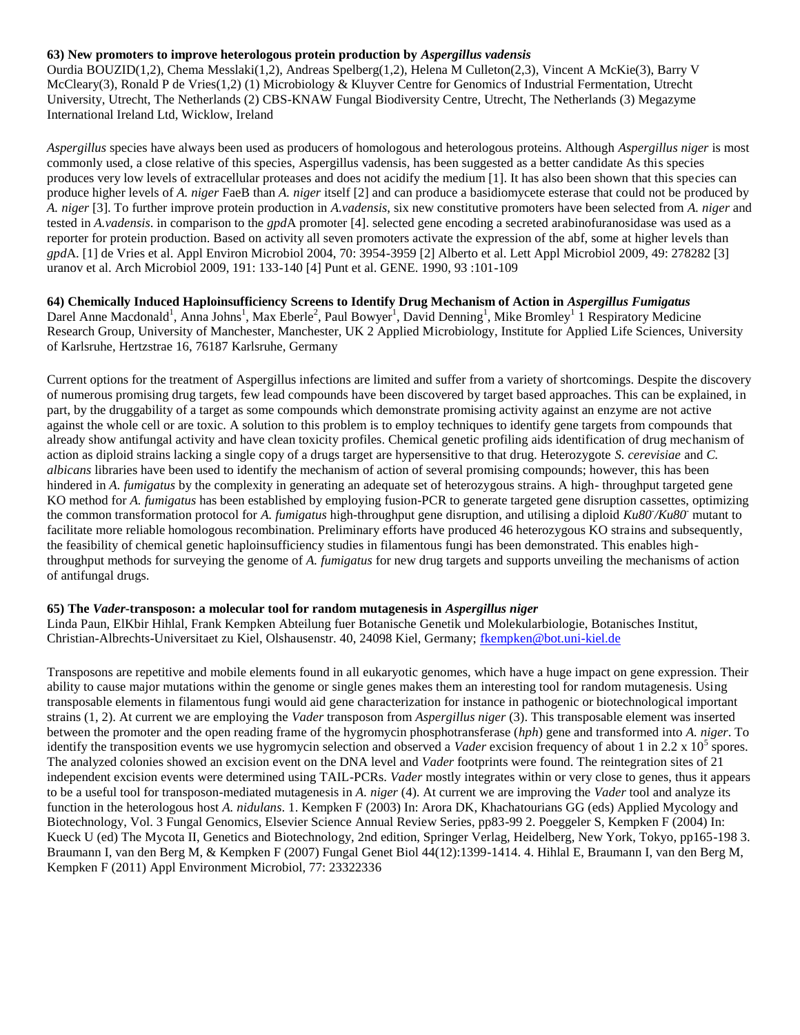#### **63) New promoters to improve heterologous protein production by** *Aspergillus vadensis*

Ourdia BOUZID(1,2), Chema Messlaki(1,2), Andreas Spelberg(1,2), Helena M Culleton(2,3), Vincent A McKie(3), Barry V McCleary(3), Ronald P de Vries(1,2) (1) Microbiology & Kluyver Centre for Genomics of Industrial Fermentation, Utrecht University, Utrecht, The Netherlands (2) CBS-KNAW Fungal Biodiversity Centre, Utrecht, The Netherlands (3) Megazyme International Ireland Ltd, Wicklow, Ireland

*Aspergillus* species have always been used as producers of homologous and heterologous proteins. Although *Aspergillus niger* is most commonly used, a close relative of this species, Aspergillus vadensis, has been suggested as a better candidate As this species produces very low levels of extracellular proteases and does not acidify the medium [1]. It has also been shown that this species can produce higher levels of *A. niger* FaeB than *A. niger* itself [2] and can produce a basidiomycete esterase that could not be produced by *A. niger* [3]. To further improve protein production in *A.vadensis*, six new constitutive promoters have been selected from *A. niger* and tested in *A.vadensis*. in comparison to the *gpd*A promoter [4]. selected gene encoding a secreted arabinofuranosidase was used as a reporter for protein production. Based on activity all seven promoters activate the expression of the abf, some at higher levels than *gpd*A. [1] de Vries et al. Appl Environ Microbiol 2004, 70: 3954-3959 [2] Alberto et al. Lett Appl Microbiol 2009, 49: 278282 [3] uranov et al. Arch Microbiol 2009, 191: 133-140 [4] Punt et al. GENE. 1990, 93 :101-109

**64) Chemically Induced Haploinsufficiency Screens to Identify Drug Mechanism of Action in** *Aspergillus Fumigatus* Darel Anne Macdonald<sup>1</sup>, Anna Johns<sup>1</sup>, Max Eberle<sup>2</sup>, Paul Bowyer<sup>1</sup>, David Denning<sup>1</sup>, Mike Bromley<sup>1</sup> 1 Respiratory Medicine Research Group, University of Manchester, Manchester, UK 2 Applied Microbiology, Institute for Applied Life Sciences, University of Karlsruhe, Hertzstrae 16, 76187 Karlsruhe, Germany

Current options for the treatment of Aspergillus infections are limited and suffer from a variety of shortcomings. Despite the discovery of numerous promising drug targets, few lead compounds have been discovered by target based approaches. This can be explained, in part, by the druggability of a target as some compounds which demonstrate promising activity against an enzyme are not active against the whole cell or are toxic. A solution to this problem is to employ techniques to identify gene targets from compounds that already show antifungal activity and have clean toxicity profiles. Chemical genetic profiling aids identification of drug mechanism of action as diploid strains lacking a single copy of a drugs target are hypersensitive to that drug. Heterozygote *S. cerevisiae* and *C. albicans* libraries have been used to identify the mechanism of action of several promising compounds; however, this has been hindered in *A. fumigatus* by the complexity in generating an adequate set of heterozygous strains. A high- throughput targeted gene KO method for *A. fumigatus* has been established by employing fusion-PCR to generate targeted gene disruption cassettes, optimizing the common transformation protocol for *A. fumigatus* high-throughput gene disruption, and utilising a diploid *Ku80- /Ku80-* mutant to facilitate more reliable homologous recombination. Preliminary efforts have produced 46 heterozygous KO strains and subsequently, the feasibility of chemical genetic haploinsufficiency studies in filamentous fungi has been demonstrated. This enables highthroughput methods for surveying the genome of *A. fumigatus* for new drug targets and supports unveiling the mechanisms of action of antifungal drugs.

#### **65) The** *Vader***-transposon: a molecular tool for random mutagenesis in** *Aspergillus niger*

Linda Paun, ElKbir Hihlal, Frank Kempken Abteilung fuer Botanische Genetik und Molekularbiologie, Botanisches Institut, Christian-Albrechts-Universitaet zu Kiel, Olshausenstr. 40, 24098 Kiel, Germany; [fkempken@bot.uni-kiel.de](mailto:fkempken@bot.uni-kiel.de)

Transposons are repetitive and mobile elements found in all eukaryotic genomes, which have a huge impact on gene expression. Their ability to cause major mutations within the genome or single genes makes them an interesting tool for random mutagenesis. Using transposable elements in filamentous fungi would aid gene characterization for instance in pathogenic or biotechnological important strains (1, 2). At current we are employing the *Vader* transposon from *Aspergillus niger* (3). This transposable element was inserted between the promoter and the open reading frame of the hygromycin phosphotransferase (*hph*) gene and transformed into *A. niger*. To identify the transposition events we use hygromycin selection and observed a *Vader* excision frequency of about 1 in 2.2 x 10<sup>5</sup> spores. The analyzed colonies showed an excision event on the DNA level and *Vader* footprints were found. The reintegration sites of 21 independent excision events were determined using TAIL-PCRs. *Vader* mostly integrates within or very close to genes, thus it appears to be a useful tool for transposon-mediated mutagenesis in *A. niger* (4). At current we are improving the *Vader* tool and analyze its function in the heterologous host *A. nidulans*. 1. Kempken F (2003) In: Arora DK, Khachatourians GG (eds) Applied Mycology and Biotechnology, Vol. 3 Fungal Genomics, Elsevier Science Annual Review Series, pp83-99 2. Poeggeler S, Kempken F (2004) In: Kueck U (ed) The Mycota II, Genetics and Biotechnology, 2nd edition, Springer Verlag, Heidelberg, New York, Tokyo, pp165-198 3. Braumann I, van den Berg M, & Kempken F (2007) Fungal Genet Biol 44(12):1399-1414. 4. Hihlal E, Braumann I, van den Berg M, Kempken F (2011) Appl Environment Microbiol, 77: 23322336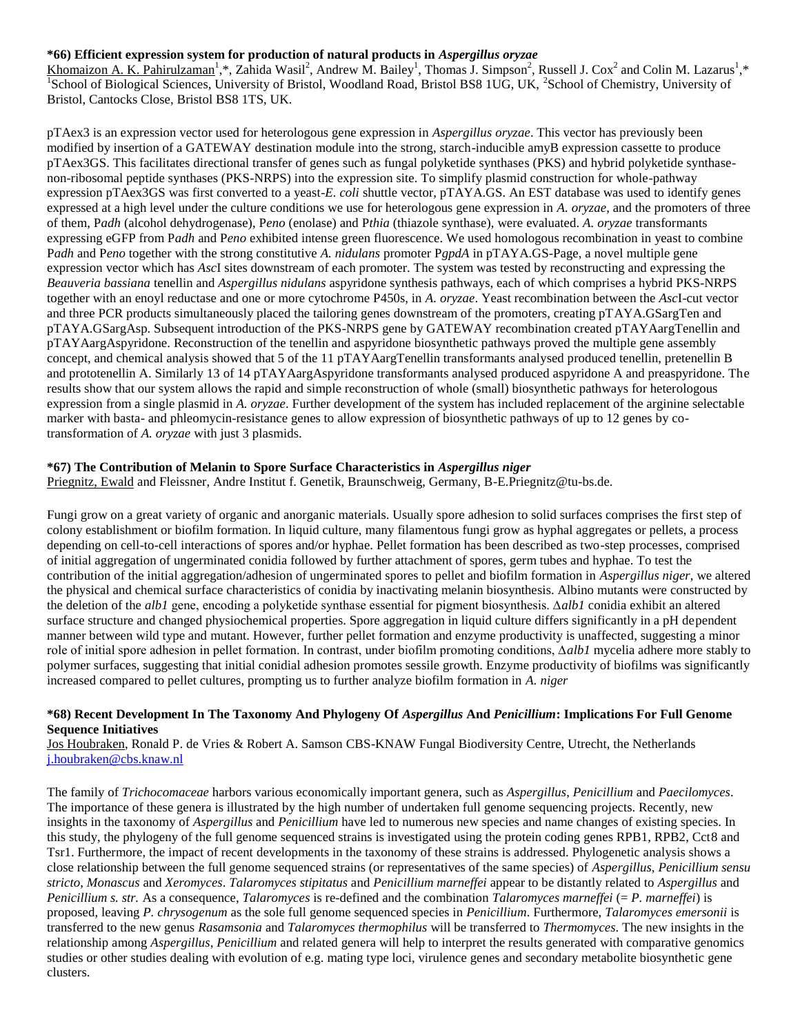## **\*66) Efficient expression system for production of natural products in** *Aspergillus oryzae*

Khomaizon A. K. Pahirulzaman<sup>1</sup>,\*, Zahida Wasil<sup>2</sup>, Andrew M. Bailey<sup>1</sup>, Thomas J. Simpson<sup>2</sup>, Russell J. Cox<sup>2</sup> and Colin M. Lazarus<sup>1</sup>,\* <sup>1</sup>School of Biological Sciences, University of Bristol, Woodland Road, Bristol BS8 1UG, UK, <sup>2</sup>School of Chemistry, University of Bristol, Cantocks Close, Bristol BS8 1TS, UK.

pTAex3 is an expression vector used for heterologous gene expression in *Aspergillus oryzae*. This vector has previously been modified by insertion of a GATEWAY destination module into the strong, starch-inducible amyB expression cassette to produce pTAex3GS. This facilitates directional transfer of genes such as fungal polyketide synthases (PKS) and hybrid polyketide synthasenon-ribosomal peptide synthases (PKS-NRPS) into the expression site. To simplify plasmid construction for whole-pathway expression pTAex3GS was first converted to a yeast-*E. coli* shuttle vector, pTAYA.GS. An EST database was used to identify genes expressed at a high level under the culture conditions we use for heterologous gene expression in *A. oryzae*, and the promoters of three of them, P*adh* (alcohol dehydrogenase), P*eno* (enolase) and P*thia* (thiazole synthase), were evaluated. *A. oryzae* transformants expressing eGFP from P*adh* and P*eno* exhibited intense green fluorescence. We used homologous recombination in yeast to combine P*adh* and P*eno* together with the strong constitutive *A. nidulans* promoter P*gpdA* in pTAYA.GS-Page, a novel multiple gene expression vector which has *Asc*I sites downstream of each promoter. The system was tested by reconstructing and expressing the *Beauveria bassiana* tenellin and *Aspergillus nidulans* aspyridone synthesis pathways, each of which comprises a hybrid PKS-NRPS together with an enoyl reductase and one or more cytochrome P450s, in *A. oryzae*. Yeast recombination between the *Asc*I-cut vector and three PCR products simultaneously placed the tailoring genes downstream of the promoters, creating pTAYA.GSargTen and pTAYA.GSargAsp. Subsequent introduction of the PKS-NRPS gene by GATEWAY recombination created pTAYAargTenellin and pTAYAargAspyridone. Reconstruction of the tenellin and aspyridone biosynthetic pathways proved the multiple gene assembly concept, and chemical analysis showed that 5 of the 11 pTAYAargTenellin transformants analysed produced tenellin, pretenellin B and prototenellin A. Similarly 13 of 14 pTAYAargAspyridone transformants analysed produced aspyridone A and preaspyridone. The results show that our system allows the rapid and simple reconstruction of whole (small) biosynthetic pathways for heterologous expression from a single plasmid in *A. oryzae*. Further development of the system has included replacement of the arginine selectable marker with basta- and phleomycin-resistance genes to allow expression of biosynthetic pathways of up to 12 genes by cotransformation of *A. oryzae* with just 3 plasmids.

#### **\*67) The Contribution of Melanin to Spore Surface Characteristics in** *Aspergillus niger*

Priegnitz, Ewald and Fleissner, Andre Institut f. Genetik, Braunschweig, Germany, B-E.Priegnitz@tu-bs.de.

Fungi grow on a great variety of organic and anorganic materials. Usually spore adhesion to solid surfaces comprises the first step of colony establishment or biofilm formation. In liquid culture, many filamentous fungi grow as hyphal aggregates or pellets, a process depending on cell-to-cell interactions of spores and/or hyphae. Pellet formation has been described as two-step processes, comprised of initial aggregation of ungerminated conidia followed by further attachment of spores, germ tubes and hyphae. To test the contribution of the initial aggregation/adhesion of ungerminated spores to pellet and biofilm formation in *Aspergillus niger*, we altered the physical and chemical surface characteristics of conidia by inactivating melanin biosynthesis. Albino mutants were constructed by the deletion of the *alb1* gene, encoding a polyketide synthase essential for pigment biosynthesis. ∆*alb1* conidia exhibit an altered surface structure and changed physiochemical properties. Spore aggregation in liquid culture differs significantly in a pH dependent manner between wild type and mutant. However, further pellet formation and enzyme productivity is unaffected, suggesting a minor role of initial spore adhesion in pellet formation. In contrast, under biofilm promoting conditions, ∆*alb1* mycelia adhere more stably to polymer surfaces, suggesting that initial conidial adhesion promotes sessile growth. Enzyme productivity of biofilms was significantly increased compared to pellet cultures, prompting us to further analyze biofilm formation in *A. niger*

#### **\*68) Recent Development In The Taxonomy And Phylogeny Of** *Aspergillus* **And** *Penicillium***: Implications For Full Genome Sequence Initiatives**

Jos Houbraken, Ronald P. de Vries & Robert A. Samson CBS-KNAW Fungal Biodiversity Centre, Utrecht, the Netherlands [j.houbraken@cbs.knaw.nl](mailto:j.houbraken@cbs.knaw.nl)

The family of *Trichocomaceae* harbors various economically important genera, such as *Aspergillus*, *Penicillium* and *Paecilomyces*. The importance of these genera is illustrated by the high number of undertaken full genome sequencing projects. Recently, new insights in the taxonomy of *Aspergillus* and *Penicillium* have led to numerous new species and name changes of existing species. In this study, the phylogeny of the full genome sequenced strains is investigated using the protein coding genes RPB1, RPB2, Cct8 and Tsr1. Furthermore, the impact of recent developments in the taxonomy of these strains is addressed. Phylogenetic analysis shows a close relationship between the full genome sequenced strains (or representatives of the same species) of *Aspergillus*, *Penicillium sensu stricto*, *Monascus* and *Xeromyces*. *Talaromyces stipitatus* and *Penicillium marneffei* appear to be distantly related to *Aspergillus* and *Penicillium s. str.* As a consequence, *Talaromyces* is re-defined and the combination *Talaromyces marneffei* (= *P. marneffei*) is proposed, leaving *P. chrysogenum* as the sole full genome sequenced species in *Penicillium*. Furthermore, *Talaromyces emersonii* is transferred to the new genus *Rasamsonia* and *Talaromyces thermophilus* will be transferred to *Thermomyces*. The new insights in the relationship among *Aspergillus*, *Penicillium* and related genera will help to interpret the results generated with comparative genomics studies or other studies dealing with evolution of e.g. mating type loci, virulence genes and secondary metabolite biosynthetic gene clusters.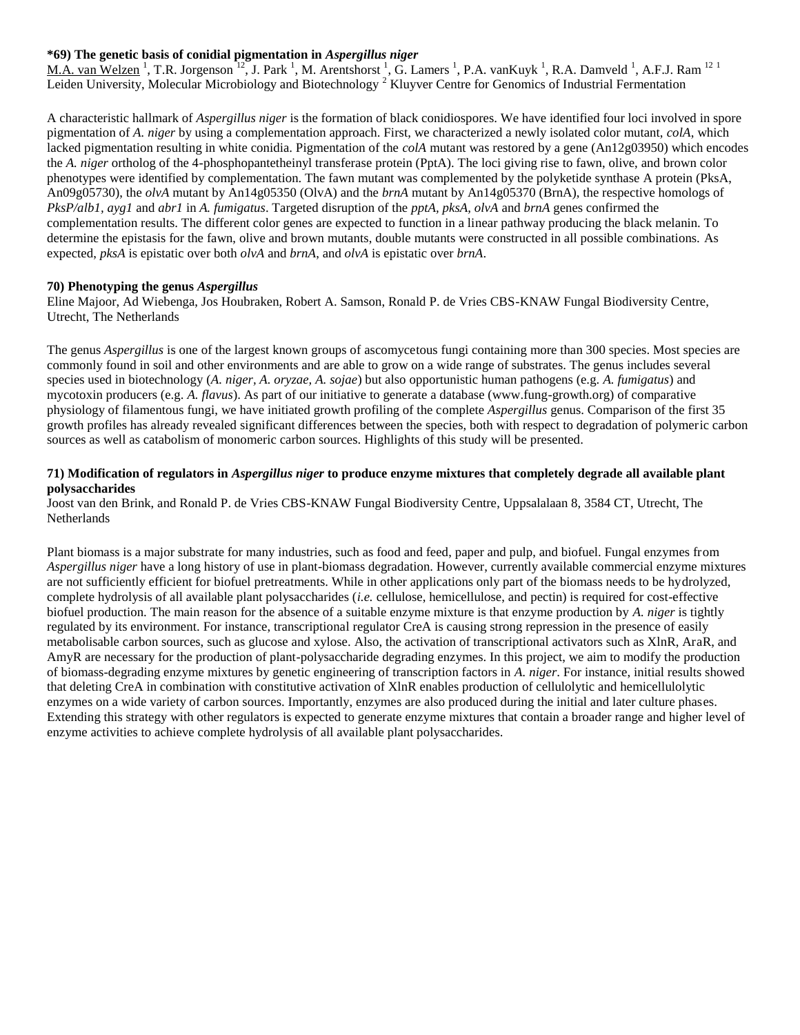## **\*69) The genetic basis of conidial pigmentation in** *Aspergillus niger*

M.A. van Welzen<sup>1</sup>, T.R. Jorgenson<sup>12</sup>, J. Park<sup>1</sup>, M. Arentshorst<sup>1</sup>, G. Lamers<sup>1</sup>, P.A. vanKuyk<sup>1</sup>, R.A. Damveld<sup>1</sup>, A.F.J. Ram<sup>121</sup> Leiden University, Molecular Microbiology and Biotechnology<sup>2</sup> Kluyver Centre for Genomics of Industrial Fermentation

A characteristic hallmark of *Aspergillus niger* is the formation of black conidiospores. We have identified four loci involved in spore pigmentation of *A. niger* by using a complementation approach. First, we characterized a newly isolated color mutant, *colA*, which lacked pigmentation resulting in white conidia. Pigmentation of the *colA* mutant was restored by a gene (An12g03950) which encodes the *A. niger* ortholog of the 4-phosphopantetheinyl transferase protein (PptA). The loci giving rise to fawn, olive, and brown color phenotypes were identified by complementation. The fawn mutant was complemented by the polyketide synthase A protein (PksA, An09g05730), the *olvA* mutant by An14g05350 (OlvA) and the *brnA* mutant by An14g05370 (BrnA), the respective homologs of *PksP/alb1, ayg1* and *abr1* in *A. fumigatus*. Targeted disruption of the *pptA, pksA, olvA* and *brnA* genes confirmed the complementation results. The different color genes are expected to function in a linear pathway producing the black melanin. To determine the epistasis for the fawn, olive and brown mutants, double mutants were constructed in all possible combinations. As expected, *pksA* is epistatic over both *olvA* and *brnA*, and *olvA* is epistatic over *brnA*.

## **70) Phenotyping the genus** *Aspergillus*

Eline Majoor, Ad Wiebenga, Jos Houbraken, Robert A. Samson, Ronald P. de Vries CBS-KNAW Fungal Biodiversity Centre, Utrecht, The Netherlands

The genus *Aspergillus* is one of the largest known groups of ascomycetous fungi containing more than 300 species. Most species are commonly found in soil and other environments and are able to grow on a wide range of substrates. The genus includes several species used in biotechnology (*A. niger, A. oryzae, A. sojae*) but also opportunistic human pathogens (e.g. *A. fumigatus*) and mycotoxin producers (e.g. *A. flavus*). As part of our initiative to generate a database (www.fung-growth.org) of comparative physiology of filamentous fungi, we have initiated growth profiling of the complete *Aspergillus* genus. Comparison of the first 35 growth profiles has already revealed significant differences between the species, both with respect to degradation of polymeric carbon sources as well as catabolism of monomeric carbon sources. Highlights of this study will be presented.

# **71) Modification of regulators in** *Aspergillus niger* **to produce enzyme mixtures that completely degrade all available plant polysaccharides**

Joost van den Brink, and Ronald P. de Vries CBS-KNAW Fungal Biodiversity Centre, Uppsalalaan 8, 3584 CT, Utrecht, The **Netherlands** 

Plant biomass is a major substrate for many industries, such as food and feed, paper and pulp, and biofuel. Fungal enzymes from *Aspergillus niger* have a long history of use in plant-biomass degradation. However, currently available commercial enzyme mixtures are not sufficiently efficient for biofuel pretreatments. While in other applications only part of the biomass needs to be hydrolyzed, complete hydrolysis of all available plant polysaccharides (*i.e.* cellulose, hemicellulose, and pectin) is required for cost-effective biofuel production. The main reason for the absence of a suitable enzyme mixture is that enzyme production by *A. niger* is tightly regulated by its environment. For instance, transcriptional regulator CreA is causing strong repression in the presence of easily metabolisable carbon sources, such as glucose and xylose. Also, the activation of transcriptional activators such as XlnR, AraR, and AmyR are necessary for the production of plant-polysaccharide degrading enzymes. In this project, we aim to modify the production of biomass-degrading enzyme mixtures by genetic engineering of transcription factors in *A. niger*. For instance, initial results showed that deleting CreA in combination with constitutive activation of XlnR enables production of cellulolytic and hemicellulolytic enzymes on a wide variety of carbon sources. Importantly, enzymes are also produced during the initial and later culture phases. Extending this strategy with other regulators is expected to generate enzyme mixtures that contain a broader range and higher level of enzyme activities to achieve complete hydrolysis of all available plant polysaccharides.